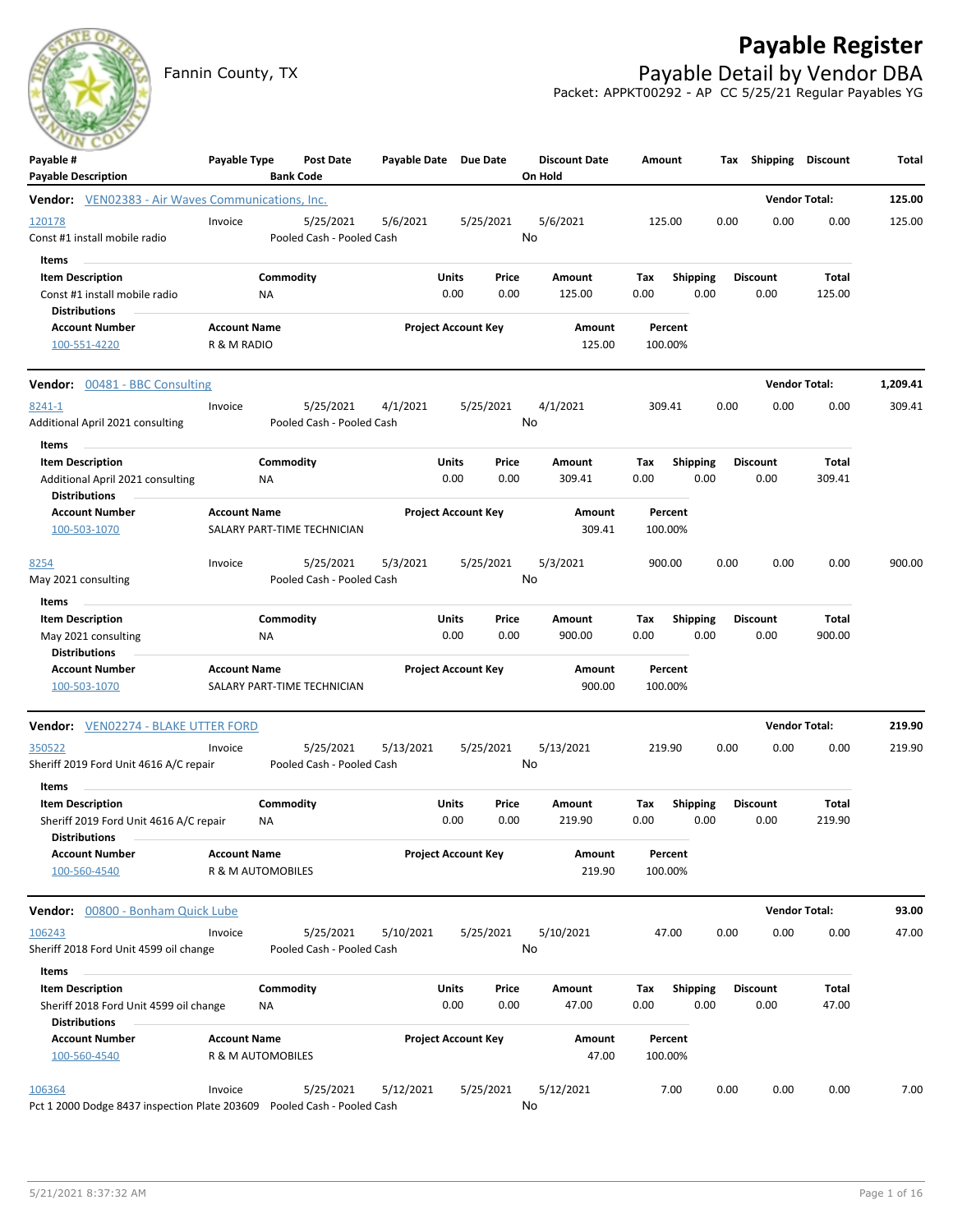## **Payable Register**



Fannin County, TX **Payable Detail by Vendor DBA** Packet: APPKT00292 - AP CC 5/25/21 Regular Payables YG

| ---<br>Payable #<br><b>Payable Description</b>                                            | Payable Type                             | <b>Post Date</b><br><b>Bank Code</b>   | Payable Date Due Date |                            |               | <b>Discount Date</b><br>On Hold | Amount             |                         |      | Tax Shipping Discount   |                        | Total    |
|-------------------------------------------------------------------------------------------|------------------------------------------|----------------------------------------|-----------------------|----------------------------|---------------|---------------------------------|--------------------|-------------------------|------|-------------------------|------------------------|----------|
| <b>Vendor:</b> VEN02383 - Air Waves Communications, Inc.                                  |                                          |                                        |                       |                            |               |                                 |                    |                         |      | <b>Vendor Total:</b>    |                        | 125.00   |
| 120178<br>Const #1 install mobile radio                                                   | Invoice                                  | 5/25/2021<br>Pooled Cash - Pooled Cash | 5/6/2021              |                            | 5/25/2021     | 5/6/2021<br>No                  | 125.00             |                         | 0.00 | 0.00                    | 0.00                   | 125.00   |
| Items<br><b>Item Description</b><br>Const #1 install mobile radio<br><b>Distributions</b> |                                          | Commodity<br>ΝA                        |                       | Units<br>0.00              | Price<br>0.00 | Amount<br>125.00                | Tax<br>0.00        | <b>Shipping</b><br>0.00 |      | <b>Discount</b><br>0.00 | Total<br>125.00        |          |
| <b>Account Number</b><br>100-551-4220                                                     | <b>Account Name</b><br>R & M RADIO       |                                        |                       | <b>Project Account Key</b> |               | <b>Amount</b><br>125.00         | Percent<br>100.00% |                         |      |                         |                        |          |
| <b>Vendor:</b> 00481 - BBC Consulting                                                     |                                          |                                        |                       |                            |               |                                 |                    |                         |      | <b>Vendor Total:</b>    |                        | 1,209.41 |
| 8241-1<br>Additional April 2021 consulting                                                | Invoice                                  | 5/25/2021<br>Pooled Cash - Pooled Cash | 4/1/2021              |                            | 5/25/2021     | 4/1/2021<br>No                  | 309.41             |                         | 0.00 | 0.00                    | 0.00                   | 309.41   |
| Items<br><b>Item Description</b><br>Additional April 2021 consulting                      |                                          | Commodity<br>ΝA                        |                       | Units<br>0.00              | Price<br>0.00 | Amount<br>309.41                | Tax<br>0.00        | <b>Shipping</b><br>0.00 |      | <b>Discount</b><br>0.00 | <b>Total</b><br>309.41 |          |
| <b>Distributions</b><br><b>Account Number</b><br>100-503-1070                             | <b>Account Name</b>                      | SALARY PART-TIME TECHNICIAN            |                       | <b>Project Account Key</b> |               | Amount<br>309.41                | Percent<br>100.00% |                         |      |                         |                        |          |
| 8254<br>May 2021 consulting                                                               | Invoice                                  | 5/25/2021<br>Pooled Cash - Pooled Cash | 5/3/2021              |                            | 5/25/2021     | 5/3/2021<br>No                  | 900.00             |                         | 0.00 | 0.00                    | 0.00                   | 900.00   |
| Items                                                                                     |                                          |                                        |                       |                            |               |                                 |                    |                         |      |                         |                        |          |
| <b>Item Description</b><br>May 2021 consulting<br><b>Distributions</b>                    |                                          | Commodity<br>ΝA                        |                       | Units<br>0.00              | Price<br>0.00 | Amount<br>900.00                | Tax<br>0.00        | <b>Shipping</b><br>0.00 |      | <b>Discount</b><br>0.00 | Total<br>900.00        |          |
| <b>Account Number</b><br>100-503-1070                                                     | <b>Account Name</b>                      | SALARY PART-TIME TECHNICIAN            |                       | <b>Project Account Key</b> |               | Amount<br>900.00                | Percent<br>100.00% |                         |      |                         |                        |          |
| <b>Vendor: VEN02274 - BLAKE UTTER FORD</b>                                                |                                          |                                        |                       |                            |               |                                 |                    |                         |      | <b>Vendor Total:</b>    |                        | 219.90   |
| 350522<br>Sheriff 2019 Ford Unit 4616 A/C repair                                          | Invoice                                  | 5/25/2021<br>Pooled Cash - Pooled Cash | 5/13/2021             |                            | 5/25/2021     | 5/13/2021<br>No                 | 219.90             |                         | 0.00 | 0.00                    | 0.00                   | 219.90   |
| Items<br><b>Item Description</b><br>Sheriff 2019 Ford Unit 4616 A/C repair                |                                          | Commodity<br>ΝA                        |                       | Units<br>0.00              | Price<br>0.00 | Amount<br>219.90                | Tax<br>0.00        | <b>Shipping</b><br>0.00 |      | <b>Discount</b><br>0.00 | Total<br>219.90        |          |
| <b>Distributions</b><br><b>Account Number</b><br>100-560-4540                             | <b>Account Name</b><br>R & M AUTOMOBILES |                                        |                       | <b>Project Account Key</b> |               | Amount<br>219.90                | Percent<br>100.00% |                         |      |                         |                        |          |
| Vendor: 00800 - Bonham Quick Lube                                                         |                                          |                                        |                       |                            |               |                                 |                    |                         |      | <b>Vendor Total:</b>    |                        | 93.00    |
| 106243<br>Sheriff 2018 Ford Unit 4599 oil change                                          | Invoice                                  | 5/25/2021<br>Pooled Cash - Pooled Cash | 5/10/2021             |                            | 5/25/2021     | 5/10/2021<br>No                 | 47.00              |                         | 0.00 | 0.00                    | 0.00                   | 47.00    |
| Items                                                                                     |                                          |                                        |                       |                            |               |                                 |                    |                         |      |                         |                        |          |
| <b>Item Description</b><br>Sheriff 2018 Ford Unit 4599 oil change<br><b>Distributions</b> |                                          | Commodity<br>NA                        |                       | Units<br>0.00              | Price<br>0.00 | Amount<br>47.00                 | Tax<br>0.00        | <b>Shipping</b><br>0.00 |      | <b>Discount</b><br>0.00 | Total<br>47.00         |          |
| <b>Account Number</b><br>100-560-4540                                                     | <b>Account Name</b><br>R & M AUTOMOBILES |                                        |                       | <b>Project Account Key</b> |               | Amount<br>47.00                 | Percent<br>100.00% |                         |      |                         |                        |          |
| 106364<br>Pct 1 2000 Dodge 8437 inspection Plate 203609  Pooled Cash - Pooled Cash        | Invoice                                  | 5/25/2021                              | 5/12/2021             |                            | 5/25/2021     | 5/12/2021<br>No                 | 7.00               |                         | 0.00 | 0.00                    | 0.00                   | 7.00     |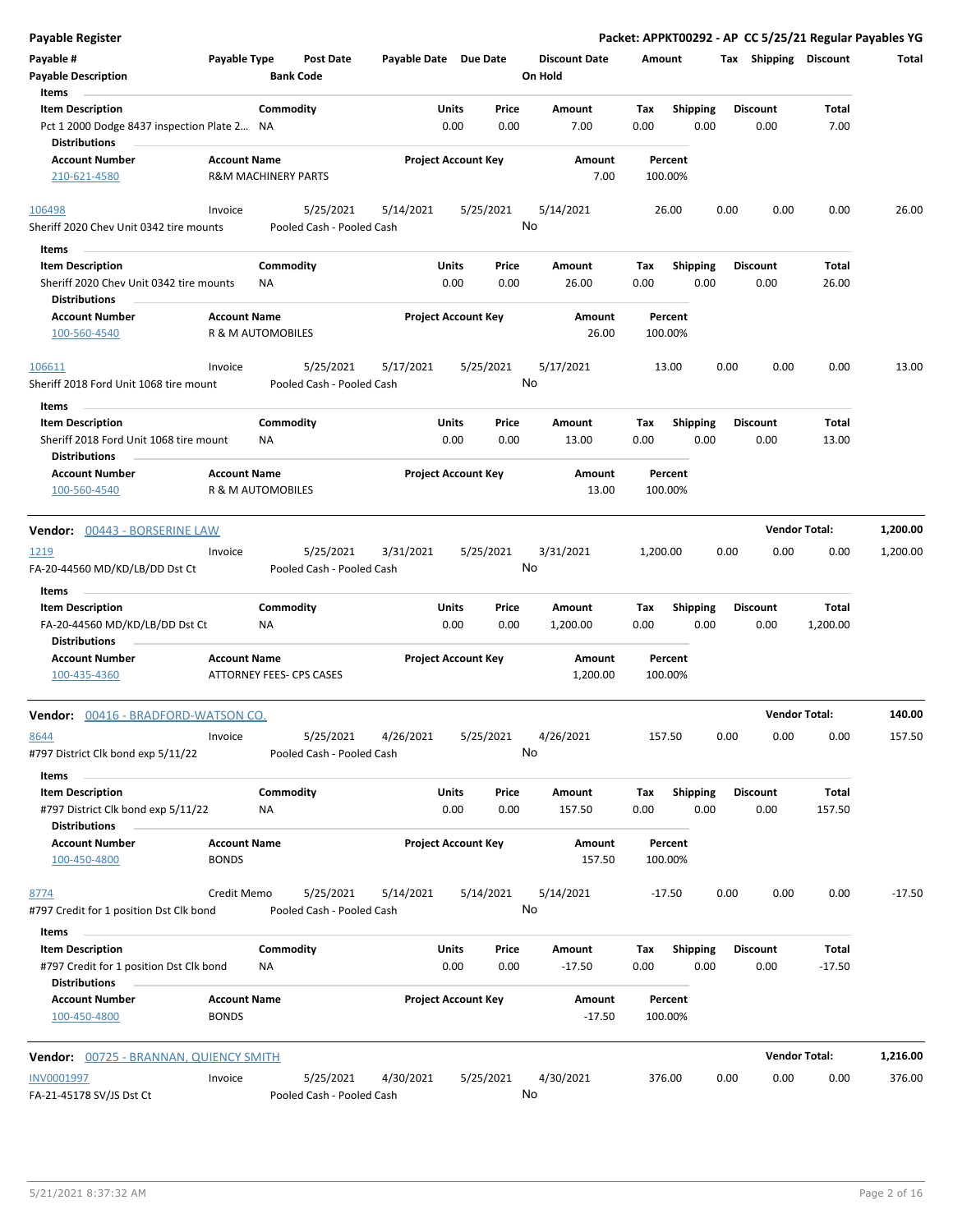| <b>Payable Register</b>                                                                        |                                                       |                  |                                        |                       |                            |               |                                 |                    |                  |      |                         | Packet: APPKT00292 - AP CC 5/25/21 Regular Payables YG |          |
|------------------------------------------------------------------------------------------------|-------------------------------------------------------|------------------|----------------------------------------|-----------------------|----------------------------|---------------|---------------------------------|--------------------|------------------|------|-------------------------|--------------------------------------------------------|----------|
| Payable #<br><b>Payable Description</b>                                                        | Payable Type                                          | <b>Bank Code</b> | <b>Post Date</b>                       | Payable Date Due Date |                            |               | <b>Discount Date</b><br>On Hold | Amount             |                  |      | Tax Shipping Discount   |                                                        | Total    |
| Items                                                                                          |                                                       |                  |                                        |                       |                            |               |                                 |                    |                  |      |                         |                                                        |          |
| <b>Item Description</b><br>Pct 1 2000 Dodge 8437 inspection Plate 2 NA<br><b>Distributions</b> |                                                       | Commodity        |                                        |                       | Units<br>0.00              | Price<br>0.00 | Amount<br>7.00                  | Тах<br>0.00        | Shipping<br>0.00 |      | <b>Discount</b><br>0.00 | Total<br>7.00                                          |          |
| <b>Account Number</b><br>210-621-4580                                                          | <b>Account Name</b><br><b>R&amp;M MACHINERY PARTS</b> |                  |                                        |                       | <b>Project Account Key</b> |               | Amount<br>7.00                  | Percent<br>100.00% |                  |      |                         |                                                        |          |
|                                                                                                |                                                       |                  |                                        |                       |                            |               |                                 |                    |                  |      |                         |                                                        |          |
| 106498<br>Sheriff 2020 Chev Unit 0342 tire mounts                                              | Invoice                                               |                  | 5/25/2021<br>Pooled Cash - Pooled Cash | 5/14/2021             |                            | 5/25/2021     | 5/14/2021<br>No                 | 26.00              |                  | 0.00 | 0.00                    | 0.00                                                   | 26.00    |
| Items                                                                                          |                                                       |                  |                                        |                       |                            |               |                                 |                    |                  |      |                         |                                                        |          |
| <b>Item Description</b>                                                                        |                                                       | Commodity        |                                        |                       | Units                      | Price         | Amount                          | Tax                | Shipping         |      | <b>Discount</b>         | Total                                                  |          |
| Sheriff 2020 Chev Unit 0342 tire mounts                                                        |                                                       | ΝA               |                                        |                       | 0.00                       | 0.00          | 26.00                           | 0.00               | 0.00             |      | 0.00                    | 26.00                                                  |          |
| <b>Distributions</b><br><b>Account Number</b>                                                  | <b>Account Name</b>                                   |                  |                                        |                       | <b>Project Account Key</b> |               | Amount                          | Percent            |                  |      |                         |                                                        |          |
| 100-560-4540                                                                                   | R & M AUTOMOBILES                                     |                  |                                        |                       |                            |               | 26.00                           | 100.00%            |                  |      |                         |                                                        |          |
| 106611<br>Sheriff 2018 Ford Unit 1068 tire mount                                               | Invoice                                               |                  | 5/25/2021<br>Pooled Cash - Pooled Cash | 5/17/2021             |                            | 5/25/2021     | 5/17/2021<br>No                 | 13.00              |                  | 0.00 | 0.00                    | 0.00                                                   | 13.00    |
| Items                                                                                          |                                                       |                  |                                        |                       |                            |               |                                 |                    |                  |      |                         |                                                        |          |
| <b>Item Description</b>                                                                        |                                                       | Commodity        |                                        |                       | Units                      | Price         | <b>Amount</b>                   | Tax                | <b>Shipping</b>  |      | <b>Discount</b>         | Total                                                  |          |
| Sheriff 2018 Ford Unit 1068 tire mount                                                         |                                                       | ΝA               |                                        |                       | 0.00                       | 0.00          | 13.00                           | 0.00               | 0.00             |      | 0.00                    | 13.00                                                  |          |
| <b>Distributions</b>                                                                           |                                                       |                  |                                        |                       |                            |               |                                 |                    |                  |      |                         |                                                        |          |
| <b>Account Number</b><br>100-560-4540                                                          | <b>Account Name</b><br>R & M AUTOMOBILES              |                  |                                        |                       | <b>Project Account Key</b> |               | Amount<br>13.00                 | Percent<br>100.00% |                  |      |                         |                                                        |          |
| Vendor: 00443 - BORSERINE LAW                                                                  |                                                       |                  |                                        |                       |                            |               |                                 |                    |                  |      | <b>Vendor Total:</b>    |                                                        | 1,200.00 |
|                                                                                                |                                                       |                  |                                        |                       |                            |               |                                 |                    |                  |      |                         |                                                        |          |
| 1219<br>FA-20-44560 MD/KD/LB/DD Dst Ct                                                         | Invoice                                               |                  | 5/25/2021<br>Pooled Cash - Pooled Cash | 3/31/2021             |                            | 5/25/2021     | 3/31/2021<br>No                 | 1,200.00           |                  | 0.00 | 0.00                    | 0.00                                                   | 1,200.00 |
| Items                                                                                          |                                                       |                  |                                        |                       |                            |               |                                 |                    |                  |      |                         |                                                        |          |
| <b>Item Description</b>                                                                        |                                                       | Commodity        |                                        |                       | Units                      | Price         | Amount                          | Tax                | <b>Shipping</b>  |      | <b>Discount</b>         | Total                                                  |          |
| FA-20-44560 MD/KD/LB/DD Dst Ct<br><b>Distributions</b>                                         |                                                       | ΝA               |                                        |                       | 0.00                       | 0.00          | 1,200.00                        | 0.00               | 0.00             |      | 0.00                    | 1,200.00                                               |          |
| <b>Account Number</b><br>100-435-4360                                                          | <b>Account Name</b><br>ATTORNEY FEES- CPS CASES       |                  |                                        |                       | <b>Project Account Key</b> |               | Amount<br>1,200.00              | Percent<br>100.00% |                  |      |                         |                                                        |          |
| Vendor: 00416 - BRADFORD-WATSON CO.                                                            |                                                       |                  |                                        |                       |                            |               |                                 |                    |                  |      | <b>Vendor Total:</b>    |                                                        | 140.00   |
| 8644                                                                                           | Invoice                                               |                  | 5/25/2021                              | 4/26/2021             |                            | 5/25/2021     | 4/26/2021                       | 157.50             |                  | 0.00 | 0.00                    | 0.00                                                   | 157.50   |
| #797 District Clk bond exp 5/11/22<br>Items                                                    |                                                       |                  | Pooled Cash - Pooled Cash              |                       |                            |               | No                              |                    |                  |      |                         |                                                        |          |
| <b>Item Description</b>                                                                        |                                                       | Commodity        |                                        |                       | Units                      | Price         | Amount                          | Tax                | Shipping         |      | <b>Discount</b>         | Total                                                  |          |
| #797 District Clk bond exp 5/11/22<br><b>Distributions</b>                                     |                                                       | NA               |                                        |                       | 0.00                       | 0.00          | 157.50                          | 0.00               | 0.00             |      | 0.00                    | 157.50                                                 |          |
| <b>Account Number</b><br>100-450-4800                                                          | <b>Account Name</b><br><b>BONDS</b>                   |                  |                                        |                       | <b>Project Account Key</b> |               | Amount<br>157.50                | Percent<br>100.00% |                  |      |                         |                                                        |          |
| 8774<br>#797 Credit for 1 position Dst Clk bond                                                | Credit Memo                                           |                  | 5/25/2021<br>Pooled Cash - Pooled Cash | 5/14/2021             |                            | 5/14/2021     | 5/14/2021<br>No                 | $-17.50$           |                  | 0.00 | 0.00                    | 0.00                                                   | $-17.50$ |
| Items                                                                                          |                                                       |                  |                                        |                       |                            |               |                                 |                    |                  |      |                         |                                                        |          |
| <b>Item Description</b>                                                                        |                                                       | Commodity        |                                        |                       | Units                      | Price         | Amount                          | Tax                | <b>Shipping</b>  |      | <b>Discount</b>         | Total                                                  |          |
| #797 Credit for 1 position Dst Clk bond<br><b>Distributions</b>                                |                                                       | ΝA               |                                        |                       | 0.00                       | 0.00          | $-17.50$                        | 0.00               | 0.00             |      | 0.00                    | $-17.50$                                               |          |
| <b>Account Number</b><br>100-450-4800                                                          | <b>Account Name</b><br><b>BONDS</b>                   |                  |                                        |                       | <b>Project Account Key</b> |               | Amount<br>$-17.50$              | Percent<br>100.00% |                  |      |                         |                                                        |          |
| Vendor: 00725 - BRANNAN, QUIENCY SMITH                                                         |                                                       |                  |                                        |                       |                            |               |                                 |                    |                  |      | <b>Vendor Total:</b>    |                                                        | 1,216.00 |
| <b>INV0001997</b>                                                                              | Invoice                                               |                  | 5/25/2021                              | 4/30/2021             |                            | 5/25/2021     | 4/30/2021                       | 376.00             |                  | 0.00 | 0.00                    | 0.00                                                   | 376.00   |
| FA-21-45178 SV/JS Dst Ct                                                                       |                                                       |                  | Pooled Cash - Pooled Cash              |                       |                            |               | No                              |                    |                  |      |                         |                                                        |          |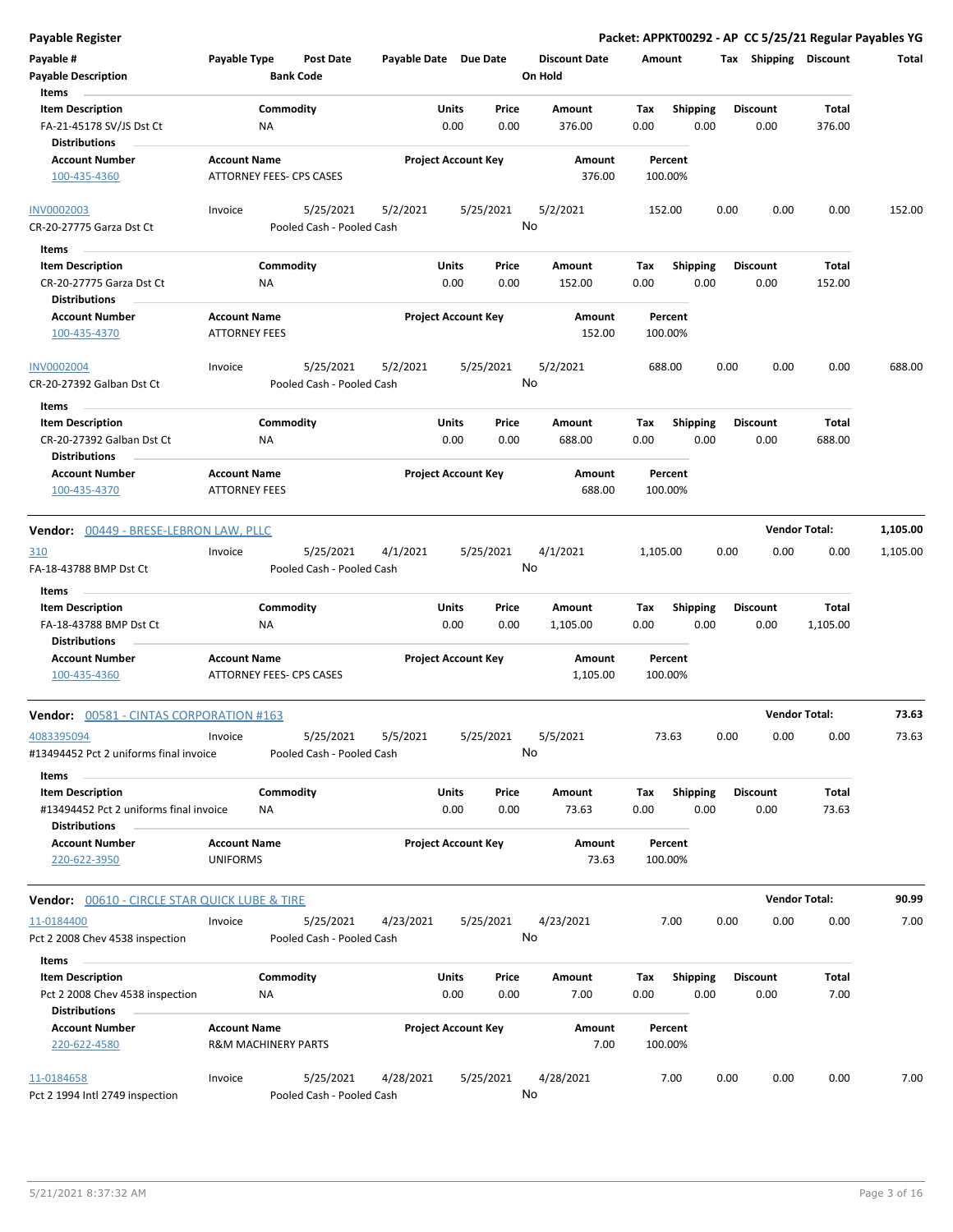| <b>Payable Register</b>                                  |                                                        |                           |                            |              |           |                      |                    |                 |      |                       | Packet: APPKT00292 - AP CC 5/25/21 Regular Payables YG |          |
|----------------------------------------------------------|--------------------------------------------------------|---------------------------|----------------------------|--------------|-----------|----------------------|--------------------|-----------------|------|-----------------------|--------------------------------------------------------|----------|
| Payable #                                                | Payable Type                                           | <b>Post Date</b>          | Payable Date Due Date      |              |           | <b>Discount Date</b> | Amount             |                 |      | Tax Shipping Discount |                                                        | Total    |
| <b>Payable Description</b>                               |                                                        | <b>Bank Code</b>          |                            |              |           | On Hold              |                    |                 |      |                       |                                                        |          |
| Items                                                    |                                                        |                           |                            |              |           |                      |                    |                 |      |                       |                                                        |          |
| <b>Item Description</b>                                  |                                                        | Commodity                 |                            | <b>Units</b> | Price     | Amount               | Tax                | <b>Shipping</b> |      | <b>Discount</b>       | Total                                                  |          |
| FA-21-45178 SV/JS Dst Ct<br><b>Distributions</b>         | <b>NA</b>                                              |                           |                            | 0.00         | 0.00      | 376.00               | 0.00               | 0.00            |      | 0.00                  | 376.00                                                 |          |
| <b>Account Number</b>                                    | <b>Account Name</b>                                    |                           | <b>Project Account Key</b> |              |           | Amount               | Percent            |                 |      |                       |                                                        |          |
| 100-435-4360                                             | ATTORNEY FEES- CPS CASES                               |                           |                            |              |           | 376.00               | 100.00%            |                 |      |                       |                                                        |          |
| <b>INV0002003</b>                                        | Invoice                                                | 5/25/2021                 | 5/2/2021                   |              | 5/25/2021 | 5/2/2021             | 152.00             |                 | 0.00 | 0.00                  | 0.00                                                   | 152.00   |
| CR-20-27775 Garza Dst Ct                                 |                                                        | Pooled Cash - Pooled Cash |                            |              | No        |                      |                    |                 |      |                       |                                                        |          |
| Items                                                    |                                                        |                           |                            |              |           |                      |                    |                 |      |                       |                                                        |          |
| <b>Item Description</b>                                  |                                                        | Commodity                 |                            | <b>Units</b> | Price     | Amount               | Tax                | <b>Shipping</b> |      | <b>Discount</b>       | Total                                                  |          |
| CR-20-27775 Garza Dst Ct                                 | ΝA                                                     |                           |                            | 0.00         | 0.00      | 152.00               | 0.00               | 0.00            |      | 0.00                  | 152.00                                                 |          |
| <b>Distributions</b>                                     |                                                        |                           |                            |              |           |                      |                    |                 |      |                       |                                                        |          |
| <b>Account Number</b>                                    | <b>Account Name</b>                                    |                           | <b>Project Account Key</b> |              |           | Amount               | Percent            |                 |      |                       |                                                        |          |
| 100-435-4370                                             | <b>ATTORNEY FEES</b>                                   |                           |                            |              |           | 152.00               | 100.00%            |                 |      |                       |                                                        |          |
| <b>INV0002004</b>                                        | Invoice                                                | 5/25/2021                 | 5/2/2021                   |              | 5/25/2021 | 5/2/2021             | 688.00             |                 | 0.00 | 0.00                  | 0.00                                                   | 688.00   |
| CR-20-27392 Galban Dst Ct                                |                                                        | Pooled Cash - Pooled Cash |                            |              | No        |                      |                    |                 |      |                       |                                                        |          |
| Items                                                    |                                                        |                           |                            |              |           |                      |                    |                 |      |                       |                                                        |          |
| <b>Item Description</b>                                  |                                                        | Commodity                 |                            | <b>Units</b> | Price     | Amount               | Tax                | <b>Shipping</b> |      | <b>Discount</b>       | Total                                                  |          |
| CR-20-27392 Galban Dst Ct                                | ΝA                                                     |                           |                            | 0.00         | 0.00      | 688.00               | 0.00               | 0.00            |      | 0.00                  | 688.00                                                 |          |
| <b>Distributions</b>                                     |                                                        |                           |                            |              |           |                      |                    |                 |      |                       |                                                        |          |
| <b>Account Number</b>                                    | <b>Account Name</b>                                    |                           | <b>Project Account Key</b> |              |           | Amount               | Percent            |                 |      |                       |                                                        |          |
| 100-435-4370                                             | <b>ATTORNEY FEES</b>                                   |                           |                            |              |           | 688.00               | 100.00%            |                 |      |                       |                                                        |          |
| Vendor: 00449 - BRESE-LEBRON LAW, PLLC                   |                                                        |                           |                            |              |           |                      |                    |                 |      |                       | <b>Vendor Total:</b>                                   | 1,105.00 |
| 310                                                      | Invoice                                                | 5/25/2021                 | 4/1/2021                   |              | 5/25/2021 | 4/1/2021             | 1,105.00           |                 | 0.00 | 0.00                  | 0.00                                                   | 1,105.00 |
| FA-18-43788 BMP Dst Ct                                   |                                                        | Pooled Cash - Pooled Cash |                            |              | No        |                      |                    |                 |      |                       |                                                        |          |
|                                                          |                                                        |                           |                            |              |           |                      |                    |                 |      |                       |                                                        |          |
| Items                                                    |                                                        |                           |                            |              |           |                      |                    |                 |      |                       |                                                        |          |
| <b>Item Description</b>                                  |                                                        | Commodity                 |                            | Units        | Price     | Amount               | Tax                | <b>Shipping</b> |      | <b>Discount</b>       | Total                                                  |          |
| FA-18-43788 BMP Dst Ct                                   | <b>NA</b>                                              |                           |                            | 0.00         | 0.00      | 1,105.00             | 0.00               | 0.00            |      | 0.00                  | 1,105.00                                               |          |
| <b>Distributions</b>                                     |                                                        |                           |                            |              |           |                      |                    |                 |      |                       |                                                        |          |
| <b>Account Number</b>                                    | <b>Account Name</b><br><b>ATTORNEY FEES- CPS CASES</b> |                           | <b>Project Account Key</b> |              |           | Amount               | Percent            |                 |      |                       |                                                        |          |
| 100-435-4360                                             |                                                        |                           |                            |              |           | 1,105.00             | 100.00%            |                 |      |                       |                                                        |          |
| Vendor: 00581 - CINTAS CORPORATION #163                  |                                                        |                           |                            |              |           |                      |                    |                 |      |                       | <b>Vendor Total:</b>                                   | 73.63    |
| 4083395094                                               | Invoice                                                | 5/25/2021                 | 5/5/2021                   |              | 5/25/2021 | 5/5/2021             | 73.63              |                 | 0.00 | 0.00                  | 0.00                                                   | 73.63    |
| #13494452 Pct 2 uniforms final invoice                   |                                                        | Pooled Cash - Pooled Cash |                            |              | No        |                      |                    |                 |      |                       |                                                        |          |
| Items                                                    |                                                        |                           |                            |              |           |                      |                    |                 |      |                       |                                                        |          |
| <b>Item Description</b>                                  |                                                        | Commodity                 |                            | Units        | Price     | Amount               | Tax                | <b>Shipping</b> |      | <b>Discount</b>       | Total                                                  |          |
| #13494452 Pct 2 uniforms final invoice                   | ΝA                                                     |                           |                            | 0.00         | 0.00      | 73.63                | 0.00               | 0.00            |      | 0.00                  | 73.63                                                  |          |
| <b>Distributions</b>                                     |                                                        |                           |                            |              |           |                      |                    |                 |      |                       |                                                        |          |
| <b>Account Number</b><br>220-622-3950                    | <b>Account Name</b><br><b>UNIFORMS</b>                 |                           | <b>Project Account Key</b> |              |           | Amount<br>73.63      | Percent<br>100.00% |                 |      |                       |                                                        |          |
|                                                          |                                                        |                           |                            |              |           |                      |                    |                 |      |                       |                                                        |          |
| <b>Vendor: 00610 - CIRCLE STAR QUICK LUBE &amp; TIRE</b> |                                                        |                           |                            |              |           |                      |                    |                 |      |                       | <b>Vendor Total:</b>                                   | 90.99    |
| 11-0184400                                               | Invoice                                                | 5/25/2021                 | 4/23/2021                  |              | 5/25/2021 | 4/23/2021            |                    | 7.00            | 0.00 | 0.00                  | 0.00                                                   | 7.00     |
| Pct 2 2008 Chev 4538 inspection                          |                                                        | Pooled Cash - Pooled Cash |                            |              | No        |                      |                    |                 |      |                       |                                                        |          |
| Items                                                    |                                                        |                           |                            |              |           |                      |                    |                 |      |                       |                                                        |          |
| <b>Item Description</b>                                  |                                                        | Commodity                 |                            | <b>Units</b> | Price     | Amount               | Tax                | Shipping        |      | <b>Discount</b>       | Total                                                  |          |
| Pct 2 2008 Chev 4538 inspection                          | <b>NA</b>                                              |                           |                            | 0.00         | 0.00      | 7.00                 | 0.00               | 0.00            |      | 0.00                  | 7.00                                                   |          |
| <b>Distributions</b>                                     |                                                        |                           |                            |              |           |                      |                    |                 |      |                       |                                                        |          |
| <b>Account Number</b>                                    | <b>Account Name</b>                                    |                           | <b>Project Account Key</b> |              |           | Amount               | Percent            |                 |      |                       |                                                        |          |
| 220-622-4580                                             | <b>R&amp;M MACHINERY PARTS</b>                         |                           |                            |              |           | 7.00                 | 100.00%            |                 |      |                       |                                                        |          |
|                                                          |                                                        |                           |                            |              |           |                      |                    |                 |      |                       |                                                        |          |
| 11-0184658                                               | Invoice                                                | 5/25/2021                 | 4/28/2021                  |              | 5/25/2021 | 4/28/2021            | 7.00               |                 | 0.00 | 0.00                  | 0.00                                                   | 7.00     |
| Pct 2 1994 Intl 2749 inspection                          |                                                        | Pooled Cash - Pooled Cash |                            |              | No        |                      |                    |                 |      |                       |                                                        |          |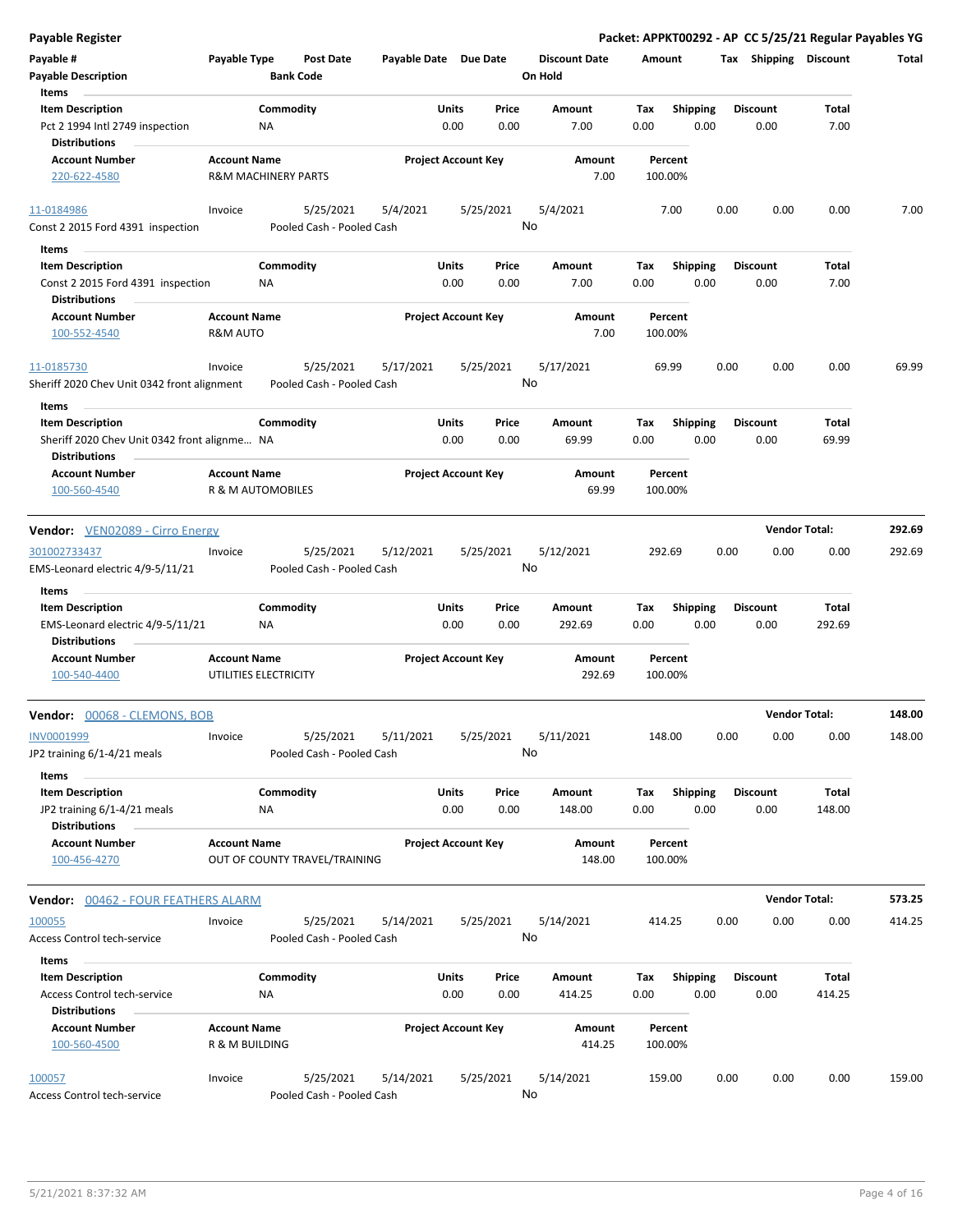| <b>Payable Register</b>                                  |                                |           |                                        |                       |       |                            |                      |        |                 |      |                       | Packet: APPKT00292 - AP CC 5/25/21 Regular Payables YG |        |
|----------------------------------------------------------|--------------------------------|-----------|----------------------------------------|-----------------------|-------|----------------------------|----------------------|--------|-----------------|------|-----------------------|--------------------------------------------------------|--------|
| Payable #                                                | Payable Type                   |           | <b>Post Date</b>                       | Payable Date Due Date |       |                            | <b>Discount Date</b> | Amount |                 |      | Tax Shipping Discount |                                                        | Total  |
| <b>Payable Description</b>                               |                                |           | <b>Bank Code</b>                       |                       |       |                            | On Hold              |        |                 |      |                       |                                                        |        |
| Items                                                    |                                |           |                                        |                       |       |                            |                      |        |                 |      |                       |                                                        |        |
| <b>Item Description</b>                                  |                                | Commodity |                                        |                       | Units | Price                      | Amount               | Tax    | <b>Shipping</b> |      | <b>Discount</b>       | Total                                                  |        |
| Pct 2 1994 Intl 2749 inspection                          |                                | ΝA        |                                        |                       | 0.00  | 0.00                       | 7.00                 | 0.00   | 0.00            |      | 0.00                  | 7.00                                                   |        |
| Distributions                                            |                                |           |                                        |                       |       |                            |                      |        |                 |      |                       |                                                        |        |
| <b>Account Number</b>                                    | <b>Account Name</b>            |           |                                        |                       |       | <b>Project Account Key</b> | Amount               |        | Percent         |      |                       |                                                        |        |
| 220-622-4580                                             | <b>R&amp;M MACHINERY PARTS</b> |           |                                        |                       |       |                            | 7.00                 |        | 100.00%         |      |                       |                                                        |        |
|                                                          |                                |           |                                        |                       |       |                            |                      |        |                 |      |                       |                                                        |        |
| 11-0184986                                               | Invoice                        |           | 5/25/2021                              | 5/4/2021              |       | 5/25/2021                  | 5/4/2021             |        | 7.00            | 0.00 | 0.00                  | 0.00                                                   | 7.00   |
| Const 2 2015 Ford 4391 inspection                        |                                |           | Pooled Cash - Pooled Cash              |                       |       |                            | No                   |        |                 |      |                       |                                                        |        |
|                                                          |                                |           |                                        |                       |       |                            |                      |        |                 |      |                       |                                                        |        |
| Items                                                    |                                |           |                                        |                       |       |                            |                      |        |                 |      |                       |                                                        |        |
| <b>Item Description</b>                                  |                                | Commodity |                                        |                       | Units | Price                      | Amount               | Tax    | <b>Shipping</b> |      | <b>Discount</b>       | Total                                                  |        |
| Const 2 2015 Ford 4391 inspection                        |                                | ΝA        |                                        |                       | 0.00  | 0.00                       | 7.00                 | 0.00   | 0.00            |      | 0.00                  | 7.00                                                   |        |
| Distributions                                            |                                |           |                                        |                       |       |                            |                      |        |                 |      |                       |                                                        |        |
| <b>Account Number</b>                                    | <b>Account Name</b>            |           |                                        |                       |       | <b>Project Account Key</b> | Amount               |        | Percent         |      |                       |                                                        |        |
| 100-552-4540                                             | <b>R&amp;M AUTO</b>            |           |                                        |                       |       |                            | 7.00                 |        | 100.00%         |      |                       |                                                        |        |
|                                                          |                                |           |                                        |                       |       |                            |                      |        |                 |      |                       |                                                        |        |
| 11-0185730                                               | Invoice                        |           | 5/25/2021                              | 5/17/2021             |       | 5/25/2021                  | 5/17/2021            |        | 69.99           | 0.00 | 0.00                  | 0.00                                                   | 69.99  |
| Sheriff 2020 Chev Unit 0342 front alignment              |                                |           | Pooled Cash - Pooled Cash              |                       |       |                            | No                   |        |                 |      |                       |                                                        |        |
| Items                                                    |                                |           |                                        |                       |       |                            |                      |        |                 |      |                       |                                                        |        |
| <b>Item Description</b>                                  |                                | Commodity |                                        |                       | Units | Price                      | Amount               | Tax    | Shipping        |      | <b>Discount</b>       | Total                                                  |        |
| Sheriff 2020 Chev Unit 0342 front alignme NA             |                                |           |                                        |                       | 0.00  | 0.00                       | 69.99                | 0.00   | 0.00            |      | 0.00                  | 69.99                                                  |        |
| Distributions                                            |                                |           |                                        |                       |       |                            |                      |        |                 |      |                       |                                                        |        |
| <b>Account Number</b>                                    | <b>Account Name</b>            |           |                                        |                       |       | <b>Project Account Key</b> | Amount               |        | Percent         |      |                       |                                                        |        |
| 100-560-4540                                             | R & M AUTOMOBILES              |           |                                        |                       |       |                            | 69.99                |        | 100.00%         |      |                       |                                                        |        |
|                                                          |                                |           |                                        |                       |       |                            |                      |        |                 |      |                       |                                                        |        |
| <b>Vendor:</b> VEN02089 - Cirro Energy                   |                                |           |                                        |                       |       |                            |                      |        |                 |      |                       | <b>Vendor Total:</b>                                   | 292.69 |
| 301002733437                                             | Invoice                        |           | 5/25/2021                              | 5/12/2021             |       | 5/25/2021                  | 5/12/2021            | 292.69 |                 | 0.00 | 0.00                  | 0.00                                                   | 292.69 |
| EMS-Leonard electric 4/9-5/11/21                         |                                |           | Pooled Cash - Pooled Cash              |                       |       |                            | No                   |        |                 |      |                       |                                                        |        |
|                                                          |                                |           |                                        |                       |       |                            |                      |        |                 |      |                       |                                                        |        |
| Items                                                    |                                |           |                                        |                       |       |                            |                      |        |                 |      |                       |                                                        |        |
| <b>Item Description</b>                                  |                                | Commodity |                                        |                       | Units | Price                      | Amount               | Tax    | <b>Shipping</b> |      | <b>Discount</b>       | Total                                                  |        |
| EMS-Leonard electric 4/9-5/11/21<br><b>Distributions</b> |                                | ΝA        |                                        |                       | 0.00  | 0.00                       | 292.69               | 0.00   | 0.00            |      | 0.00                  | 292.69                                                 |        |
|                                                          |                                |           |                                        |                       |       |                            |                      |        |                 |      |                       |                                                        |        |
| <b>Account Number</b>                                    | <b>Account Name</b>            |           |                                        |                       |       | <b>Project Account Key</b> | Amount               |        | Percent         |      |                       |                                                        |        |
| 100-540-4400                                             | UTILITIES ELECTRICITY          |           |                                        |                       |       |                            | 292.69               |        | 100.00%         |      |                       |                                                        |        |
| Vendor: 00068 - CLEMONS, BOB                             |                                |           |                                        |                       |       |                            |                      |        |                 |      |                       | <b>Vendor Total:</b>                                   | 148.00 |
|                                                          |                                |           |                                        |                       |       |                            |                      |        |                 |      |                       |                                                        |        |
| INV0001999                                               | Invoice                        |           | 5/25/2021<br>Pooled Cash - Pooled Cash | 5/11/2021             |       | 5/25/2021                  | 5/11/2021<br>No      | 148.00 |                 | 0.00 | 0.00                  | 0.00                                                   | 148.00 |
| JP2 training 6/1-4/21 meals                              |                                |           |                                        |                       |       |                            |                      |        |                 |      |                       |                                                        |        |
| Items                                                    |                                |           |                                        |                       |       |                            |                      |        |                 |      |                       |                                                        |        |
| <b>Item Description</b>                                  |                                | Commodity |                                        |                       | Units | Price                      | Amount               | Tax    | Shipping        |      | <b>Discount</b>       | Total                                                  |        |
| JP2 training 6/1-4/21 meals                              |                                | NA        |                                        |                       | 0.00  | 0.00                       | 148.00               | 0.00   | 0.00            |      | 0.00                  | 148.00                                                 |        |
| <b>Distributions</b>                                     |                                |           |                                        |                       |       |                            |                      |        |                 |      |                       |                                                        |        |
| <b>Account Number</b>                                    | <b>Account Name</b>            |           |                                        |                       |       | <b>Project Account Key</b> | Amount               |        | Percent         |      |                       |                                                        |        |
| 100-456-4270                                             |                                |           | OUT OF COUNTY TRAVEL/TRAINING          |                       |       |                            | 148.00               |        | 100.00%         |      |                       |                                                        |        |
|                                                          |                                |           |                                        |                       |       |                            |                      |        |                 |      |                       |                                                        |        |
| <b>Vendor: 00462 - FOUR FEATHERS ALARM</b>               |                                |           |                                        |                       |       |                            |                      |        |                 |      |                       | <b>Vendor Total:</b>                                   | 573.25 |
| 100055                                                   | Invoice                        |           | 5/25/2021                              | 5/14/2021             |       | 5/25/2021                  | 5/14/2021            | 414.25 |                 | 0.00 | 0.00                  | 0.00                                                   | 414.25 |
| <b>Access Control tech-service</b>                       |                                |           | Pooled Cash - Pooled Cash              |                       |       |                            | No                   |        |                 |      |                       |                                                        |        |
| Items                                                    |                                |           |                                        |                       |       |                            |                      |        |                 |      |                       |                                                        |        |
| <b>Item Description</b>                                  |                                | Commodity |                                        |                       | Units | Price                      | Amount               | Tax    | <b>Shipping</b> |      | <b>Discount</b>       | Total                                                  |        |
|                                                          |                                | NA        |                                        |                       | 0.00  | 0.00                       |                      |        | 0.00            |      |                       |                                                        |        |
| Access Control tech-service<br><b>Distributions</b>      |                                |           |                                        |                       |       |                            | 414.25               | 0.00   |                 |      | 0.00                  | 414.25                                                 |        |
| <b>Account Number</b>                                    | <b>Account Name</b>            |           |                                        |                       |       | <b>Project Account Key</b> | Amount               |        | Percent         |      |                       |                                                        |        |
| 100-560-4500                                             | R & M BUILDING                 |           |                                        |                       |       |                            | 414.25               |        | 100.00%         |      |                       |                                                        |        |
|                                                          |                                |           |                                        |                       |       |                            |                      |        |                 |      |                       |                                                        |        |
| 100057                                                   | Invoice                        |           | 5/25/2021                              | 5/14/2021             |       | 5/25/2021                  | 5/14/2021            |        | 159.00          | 0.00 | 0.00                  | 0.00                                                   | 159.00 |
| <b>Access Control tech-service</b>                       |                                |           | Pooled Cash - Pooled Cash              |                       |       |                            | No                   |        |                 |      |                       |                                                        |        |
|                                                          |                                |           |                                        |                       |       |                            |                      |        |                 |      |                       |                                                        |        |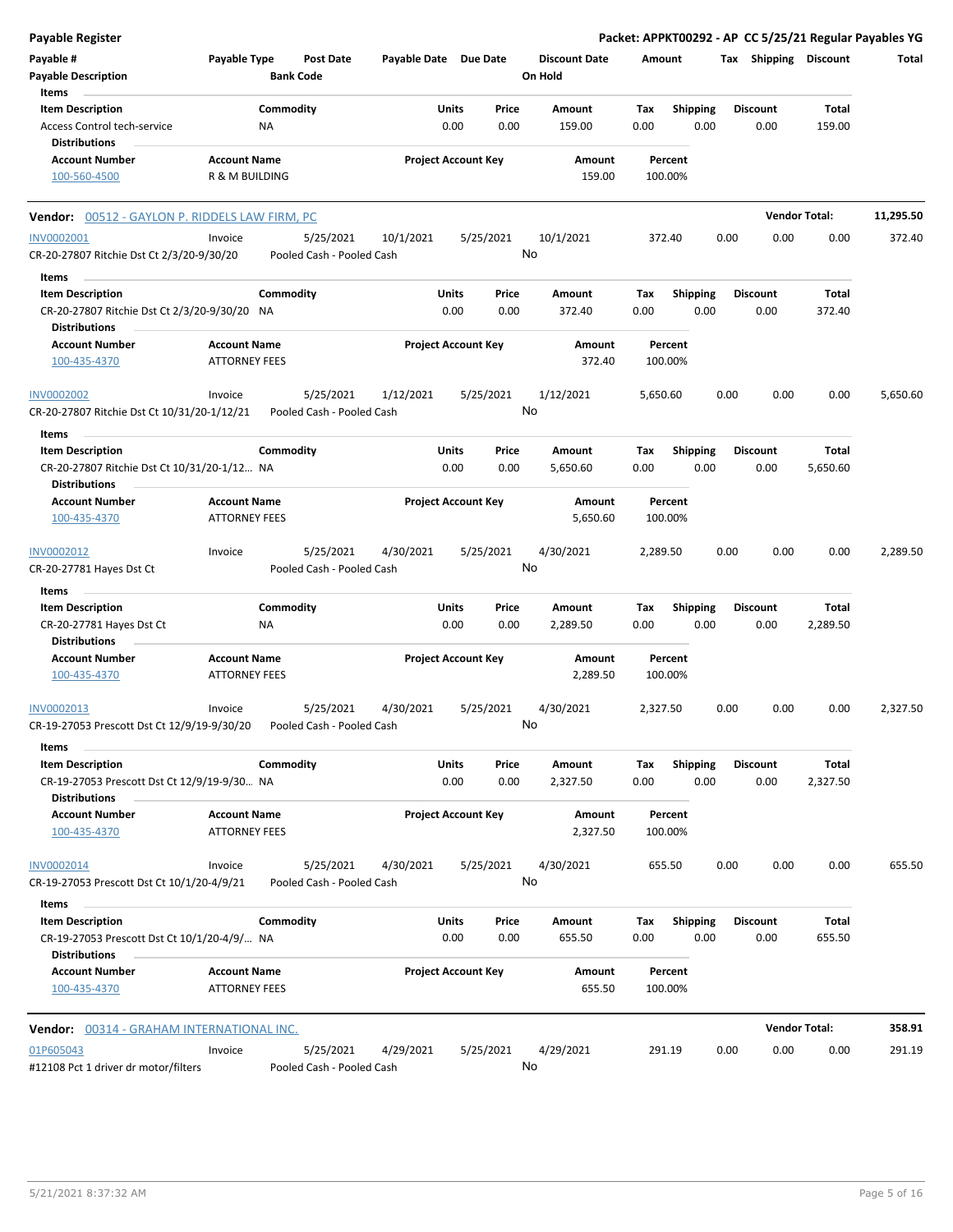| <b>Payable Register</b>                                                |                                             |                  |                           |                       |                            |               |                                 |             |                    |      |                         |                      | Packet: APPKT00292 - AP CC 5/25/21 Regular Payables YG |
|------------------------------------------------------------------------|---------------------------------------------|------------------|---------------------------|-----------------------|----------------------------|---------------|---------------------------------|-------------|--------------------|------|-------------------------|----------------------|--------------------------------------------------------|
| Payable #<br><b>Payable Description</b>                                | Payable Type                                | <b>Bank Code</b> | <b>Post Date</b>          | Payable Date Due Date |                            |               | <b>Discount Date</b><br>On Hold | Amount      |                    |      | Tax Shipping Discount   |                      | Total                                                  |
| Items                                                                  |                                             |                  |                           |                       |                            |               |                                 |             |                    |      |                         |                      |                                                        |
| <b>Item Description</b>                                                |                                             | Commodity        |                           |                       | Units                      | Price         | Amount                          | Tax         | <b>Shipping</b>    |      | <b>Discount</b>         | Total                |                                                        |
| Access Control tech-service                                            |                                             | NA               |                           |                       | 0.00                       | 0.00          | 159.00                          | 0.00        | 0.00               |      | 0.00                    | 159.00               |                                                        |
| <b>Distributions</b>                                                   |                                             |                  |                           |                       |                            |               |                                 |             |                    |      |                         |                      |                                                        |
| <b>Account Number</b><br>100-560-4500                                  | <b>Account Name</b><br>R & M BUILDING       |                  |                           |                       | <b>Project Account Key</b> |               | Amount<br>159.00                |             | Percent<br>100.00% |      |                         |                      |                                                        |
|                                                                        |                                             |                  |                           |                       |                            |               |                                 |             |                    |      |                         |                      |                                                        |
| Vendor: 00512 - GAYLON P. RIDDELS LAW FIRM, PC                         |                                             |                  |                           |                       |                            |               |                                 |             |                    |      |                         | <b>Vendor Total:</b> | 11,295.50                                              |
| <b>INV0002001</b>                                                      | Invoice                                     |                  | 5/25/2021                 | 10/1/2021             |                            | 5/25/2021     | 10/1/2021                       | 372.40      |                    | 0.00 | 0.00                    | 0.00                 | 372.40                                                 |
| CR-20-27807 Ritchie Dst Ct 2/3/20-9/30/20                              |                                             |                  | Pooled Cash - Pooled Cash |                       |                            | No            |                                 |             |                    |      |                         |                      |                                                        |
| Items                                                                  |                                             |                  |                           |                       |                            |               |                                 |             |                    |      |                         |                      |                                                        |
| <b>Item Description</b>                                                |                                             | Commodity        |                           |                       | Units                      | Price         | Amount                          | Tax         | <b>Shipping</b>    |      | <b>Discount</b>         | Total                |                                                        |
| CR-20-27807 Ritchie Dst Ct 2/3/20-9/30/20 NA                           |                                             |                  |                           |                       | 0.00                       | 0.00          | 372.40                          | 0.00        | 0.00               |      | 0.00                    | 372.40               |                                                        |
| <b>Distributions</b>                                                   |                                             |                  |                           |                       |                            |               |                                 |             |                    |      |                         |                      |                                                        |
| <b>Account Number</b><br>100-435-4370                                  | <b>Account Name</b><br><b>ATTORNEY FEES</b> |                  |                           |                       | <b>Project Account Key</b> |               | Amount<br>372.40                |             | Percent<br>100.00% |      |                         |                      |                                                        |
| <b>INV0002002</b>                                                      | Invoice                                     |                  | 5/25/2021                 | 1/12/2021             |                            | 5/25/2021     | 1/12/2021                       | 5,650.60    |                    | 0.00 | 0.00                    | 0.00                 | 5,650.60                                               |
| CR-20-27807 Ritchie Dst Ct 10/31/20-1/12/21                            |                                             |                  | Pooled Cash - Pooled Cash |                       |                            | No            |                                 |             |                    |      |                         |                      |                                                        |
| Items                                                                  |                                             |                  |                           |                       |                            |               |                                 |             |                    |      |                         |                      |                                                        |
| <b>Item Description</b><br>CR-20-27807 Ritchie Dst Ct 10/31/20-1/12 NA |                                             | Commodity        |                           |                       | Units<br>0.00              | Price<br>0.00 | Amount<br>5,650.60              | Tax<br>0.00 | Shipping<br>0.00   |      | <b>Discount</b><br>0.00 | Total<br>5,650.60    |                                                        |
| <b>Distributions</b>                                                   |                                             |                  |                           |                       |                            |               |                                 |             |                    |      |                         |                      |                                                        |
| <b>Account Number</b>                                                  | <b>Account Name</b>                         |                  |                           |                       | <b>Project Account Key</b> |               | Amount                          |             | Percent            |      |                         |                      |                                                        |
| 100-435-4370                                                           | <b>ATTORNEY FEES</b>                        |                  |                           |                       |                            |               | 5,650.60                        |             | 100.00%            |      |                         |                      |                                                        |
| INV0002012                                                             | Invoice                                     |                  | 5/25/2021                 | 4/30/2021             |                            | 5/25/2021     | 4/30/2021                       | 2,289.50    |                    | 0.00 | 0.00                    | 0.00                 | 2,289.50                                               |
| CR-20-27781 Hayes Dst Ct                                               |                                             |                  | Pooled Cash - Pooled Cash |                       |                            | No            |                                 |             |                    |      |                         |                      |                                                        |
| Items                                                                  |                                             |                  |                           |                       |                            |               |                                 |             |                    |      |                         |                      |                                                        |
| <b>Item Description</b>                                                |                                             | Commodity        |                           |                       | Units                      | Price         | Amount                          | Tax         | Shipping           |      | <b>Discount</b>         | Total                |                                                        |
| CR-20-27781 Hayes Dst Ct                                               |                                             | NA               |                           |                       | 0.00                       | 0.00          | 2,289.50                        | 0.00        | 0.00               |      | 0.00                    | 2,289.50             |                                                        |
| <b>Distributions</b>                                                   |                                             |                  |                           |                       |                            |               |                                 |             |                    |      |                         |                      |                                                        |
| <b>Account Number</b>                                                  | <b>Account Name</b>                         |                  |                           |                       | <b>Project Account Key</b> |               | Amount                          |             | Percent            |      |                         |                      |                                                        |
| 100-435-4370                                                           | <b>ATTORNEY FEES</b>                        |                  |                           |                       |                            |               | 2,289.50                        |             | 100.00%            |      |                         |                      |                                                        |
| INV0002013                                                             | Invoice                                     |                  | 5/25/2021                 | 4/30/2021             |                            | 5/25/2021     | 4/30/2021                       | 2,327.50    |                    | 0.00 | 0.00                    | 0.00                 | 2,327.50                                               |
| CR-19-27053 Prescott Dst Ct 12/9/19-9/30/20                            |                                             |                  | Pooled Cash - Pooled Cash |                       |                            | No            |                                 |             |                    |      |                         |                      |                                                        |
| Items                                                                  |                                             |                  |                           |                       |                            |               |                                 |             |                    |      |                         |                      |                                                        |
| <b>Item Description</b>                                                |                                             | Commodity        |                           |                       | Units                      | Price         | Amount                          | Tax         | <b>Shipping</b>    |      | <b>Discount</b>         | <b>Total</b>         |                                                        |
| CR-19-27053 Prescott Dst Ct 12/9/19-9/30 NA                            |                                             |                  |                           |                       | 0.00                       | 0.00          | 2,327.50                        | 0.00        | 0.00               |      | 0.00                    | 2,327.50             |                                                        |
| <b>Distributions</b>                                                   |                                             |                  |                           |                       |                            |               |                                 |             |                    |      |                         |                      |                                                        |
| <b>Account Number</b>                                                  | <b>Account Name</b>                         |                  |                           |                       | <b>Project Account Key</b> |               | Amount                          |             | Percent            |      |                         |                      |                                                        |
| 100-435-4370                                                           | <b>ATTORNEY FEES</b>                        |                  |                           |                       |                            |               | 2,327.50                        |             | 100.00%            |      |                         |                      |                                                        |
| INV0002014                                                             | Invoice                                     |                  | 5/25/2021                 | 4/30/2021             |                            | 5/25/2021     | 4/30/2021                       | 655.50      |                    | 0.00 | 0.00                    | 0.00                 | 655.50                                                 |
| CR-19-27053 Prescott Dst Ct 10/1/20-4/9/21                             |                                             |                  | Pooled Cash - Pooled Cash |                       |                            | No            |                                 |             |                    |      |                         |                      |                                                        |
| Items                                                                  |                                             |                  |                           |                       |                            |               |                                 |             |                    |      |                         |                      |                                                        |
| <b>Item Description</b>                                                |                                             | Commodity        |                           |                       | Units                      | Price         | Amount                          | Tax         | <b>Shipping</b>    |      | <b>Discount</b>         | Total                |                                                        |
| CR-19-27053 Prescott Dst Ct 10/1/20-4/9/ NA<br><b>Distributions</b>    |                                             |                  |                           |                       | 0.00                       | 0.00          | 655.50                          | 0.00        | 0.00               |      | 0.00                    | 655.50               |                                                        |
| <b>Account Number</b><br>100-435-4370                                  | <b>Account Name</b><br><b>ATTORNEY FEES</b> |                  |                           |                       | <b>Project Account Key</b> |               | Amount<br>655.50                |             | Percent<br>100.00% |      |                         |                      |                                                        |
| Vendor: 00314 - GRAHAM INTERNATIONAL INC.                              |                                             |                  |                           |                       |                            |               |                                 |             |                    |      |                         | <b>Vendor Total:</b> | 358.91                                                 |
| 01P605043                                                              | Invoice                                     |                  | 5/25/2021                 | 4/29/2021             |                            | 5/25/2021     | 4/29/2021                       | 291.19      |                    | 0.00 | 0.00                    | 0.00                 | 291.19                                                 |
| #12108 Pct 1 driver dr motor/filters                                   |                                             |                  | Pooled Cash - Pooled Cash |                       |                            | No            |                                 |             |                    |      |                         |                      |                                                        |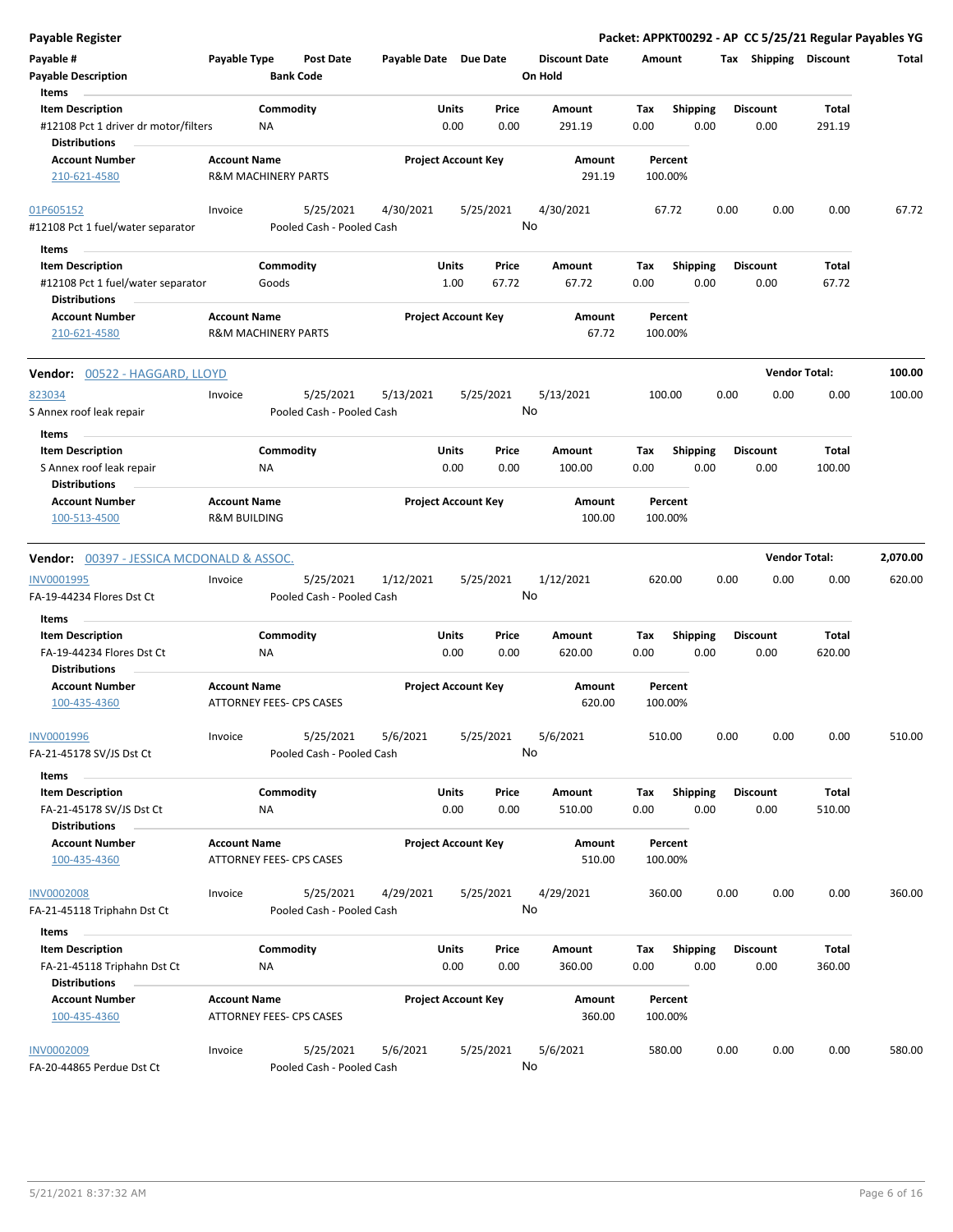| Payable Register                                                                     |                                                |                                        |                       |                            |                |                                 |             |                         |      |                         | Packet: APPKT00292 - AP CC 5/25/21 Regular Payables YG |          |
|--------------------------------------------------------------------------------------|------------------------------------------------|----------------------------------------|-----------------------|----------------------------|----------------|---------------------------------|-------------|-------------------------|------|-------------------------|--------------------------------------------------------|----------|
| Payable #<br><b>Payable Description</b>                                              | Payable Type                                   | Post Date<br><b>Bank Code</b>          | Payable Date Due Date |                            |                | <b>Discount Date</b><br>On Hold | Amount      |                         |      | Tax Shipping Discount   |                                                        | Total    |
| Items<br><b>Item Description</b>                                                     |                                                | Commodity                              |                       | Units                      | Price          | Amount                          | Tax         | <b>Shipping</b>         |      | <b>Discount</b>         | Total                                                  |          |
| #12108 Pct 1 driver dr motor/filters<br><b>Distributions</b>                         |                                                | NA                                     |                       | 0.00                       | 0.00           | 291.19                          | 0.00        | 0.00                    |      | 0.00                    | 291.19                                                 |          |
| <b>Account Number</b>                                                                | <b>Account Name</b>                            |                                        |                       | <b>Project Account Key</b> |                | Amount                          |             | Percent                 |      |                         |                                                        |          |
| 210-621-4580                                                                         |                                                | <b>R&amp;M MACHINERY PARTS</b>         |                       |                            |                | 291.19                          |             | 100.00%                 |      |                         |                                                        |          |
| 01P605152                                                                            | Invoice                                        | 5/25/2021                              | 4/30/2021             | 5/25/2021                  |                | 4/30/2021                       |             | 67.72                   | 0.00 | 0.00                    | 0.00                                                   | 67.72    |
| #12108 Pct 1 fuel/water separator                                                    |                                                | Pooled Cash - Pooled Cash              |                       |                            |                | No                              |             |                         |      |                         |                                                        |          |
| Items                                                                                |                                                |                                        |                       |                            |                |                                 |             |                         |      |                         |                                                        |          |
| <b>Item Description</b><br>#12108 Pct 1 fuel/water separator<br><b>Distributions</b> |                                                | Commodity<br>Goods                     |                       | Units<br>1.00              | Price<br>67.72 | Amount<br>67.72                 | Tax<br>0.00 | <b>Shipping</b><br>0.00 |      | <b>Discount</b><br>0.00 | Total<br>67.72                                         |          |
| <b>Account Number</b><br>210-621-4580                                                | <b>Account Name</b>                            | <b>R&amp;M MACHINERY PARTS</b>         |                       | <b>Project Account Key</b> |                | Amount<br>67.72                 |             | Percent<br>100.00%      |      |                         |                                                        |          |
|                                                                                      |                                                |                                        |                       |                            |                |                                 |             |                         |      |                         |                                                        |          |
| Vendor: 00522 - HAGGARD, LLOYD                                                       |                                                |                                        |                       |                            |                |                                 |             |                         |      | <b>Vendor Total:</b>    |                                                        | 100.00   |
| 823034<br>S Annex roof leak repair                                                   | Invoice                                        | 5/25/2021<br>Pooled Cash - Pooled Cash | 5/13/2021             | 5/25/2021                  |                | 5/13/2021<br>No                 |             | 100.00                  | 0.00 | 0.00                    | 0.00                                                   | 100.00   |
| Items                                                                                |                                                |                                        |                       |                            |                |                                 |             |                         |      |                         |                                                        |          |
| <b>Item Description</b><br>S Annex roof leak repair<br><b>Distributions</b>          |                                                | Commodity<br>ΝA                        |                       | Units<br>0.00              | Price<br>0.00  | Amount<br>100.00                | Tax<br>0.00 | <b>Shipping</b><br>0.00 |      | <b>Discount</b><br>0.00 | Total<br>100.00                                        |          |
| <b>Account Number</b><br>100-513-4500                                                | <b>Account Name</b><br><b>R&amp;M BUILDING</b> |                                        |                       | <b>Project Account Key</b> |                | Amount<br>100.00                |             | Percent<br>100.00%      |      |                         |                                                        |          |
| <b>Vendor: 00397 - JESSICA MCDONALD &amp; ASSOC.</b>                                 |                                                |                                        |                       |                            |                |                                 |             |                         |      | <b>Vendor Total:</b>    |                                                        | 2,070.00 |
| <b>INV0001995</b>                                                                    | Invoice                                        | 5/25/2021                              | 1/12/2021             | 5/25/2021                  |                | 1/12/2021                       |             | 620.00                  | 0.00 | 0.00                    | 0.00                                                   | 620.00   |
| FA-19-44234 Flores Dst Ct                                                            |                                                | Pooled Cash - Pooled Cash              |                       |                            |                | No                              |             |                         |      |                         |                                                        |          |
| Items                                                                                |                                                |                                        |                       |                            |                |                                 |             |                         |      |                         |                                                        |          |
| <b>Item Description</b><br>FA-19-44234 Flores Dst Ct                                 |                                                | Commodity<br>NA                        |                       | Units<br>0.00              | Price<br>0.00  | Amount<br>620.00                | Tax<br>0.00 | <b>Shipping</b><br>0.00 |      | <b>Discount</b><br>0.00 | Total<br>620.00                                        |          |
| <b>Distributions</b><br><b>Account Number</b>                                        | <b>Account Name</b>                            |                                        |                       | <b>Project Account Key</b> |                | <b>Amount</b><br>620.00         |             | Percent                 |      |                         |                                                        |          |
| 100-435-4360                                                                         |                                                | <b>ATTORNEY FEES- CPS CASES</b>        |                       |                            |                |                                 |             | 100.00%                 |      |                         |                                                        |          |
| INV0001996<br>FA-21-45178 SV/JS Dst Ct                                               | Invoice                                        | 5/25/2021<br>Pooled Cash - Pooled Cash | 5/6/2021              | 5/25/2021                  |                | 5/6/2021<br>No                  |             | 510.00                  | 0.00 | 0.00                    | 0.00                                                   | 510.00   |
| Items                                                                                |                                                |                                        |                       |                            |                |                                 |             |                         |      |                         |                                                        |          |
| <b>Item Description</b><br>FA-21-45178 SV/JS Dst Ct                                  |                                                | Commodity<br>ΝA                        |                       | Units<br>0.00              | Price<br>0.00  | Amount<br>510.00                | Tax<br>0.00 | <b>Shipping</b><br>0.00 |      | <b>Discount</b><br>0.00 | Total<br>510.00                                        |          |
| <b>Distributions</b><br><b>Account Number</b><br>100-435-4360                        | <b>Account Name</b>                            | ATTORNEY FEES- CPS CASES               |                       | <b>Project Account Key</b> |                | Amount<br>510.00                |             | Percent<br>100.00%      |      |                         |                                                        |          |
|                                                                                      |                                                |                                        |                       |                            |                |                                 |             |                         |      |                         |                                                        |          |
| <b>INV0002008</b><br>FA-21-45118 Triphahn Dst Ct                                     | Invoice                                        | 5/25/2021<br>Pooled Cash - Pooled Cash | 4/29/2021             | 5/25/2021                  |                | 4/29/2021<br>No                 |             | 360.00                  | 0.00 | 0.00                    | 0.00                                                   | 360.00   |
| Items                                                                                |                                                |                                        |                       |                            |                |                                 |             |                         |      |                         |                                                        |          |
| <b>Item Description</b><br>FA-21-45118 Triphahn Dst Ct                               |                                                | Commodity<br>NA                        |                       | Units<br>0.00              | Price<br>0.00  | Amount<br>360.00                | Tax<br>0.00 | <b>Shipping</b><br>0.00 |      | <b>Discount</b><br>0.00 | Total<br>360.00                                        |          |
| <b>Distributions</b>                                                                 |                                                |                                        |                       |                            |                |                                 |             |                         |      |                         |                                                        |          |
| <b>Account Number</b><br>100-435-4360                                                | <b>Account Name</b>                            | ATTORNEY FEES- CPS CASES               |                       | <b>Project Account Key</b> |                | Amount<br>360.00                |             | Percent<br>100.00%      |      |                         |                                                        |          |
| <b>INV0002009</b><br>FA-20-44865 Perdue Dst Ct                                       | Invoice                                        | 5/25/2021<br>Pooled Cash - Pooled Cash | 5/6/2021              | 5/25/2021                  |                | 5/6/2021<br>No                  |             | 580.00                  | 0.00 | 0.00                    | 0.00                                                   | 580.00   |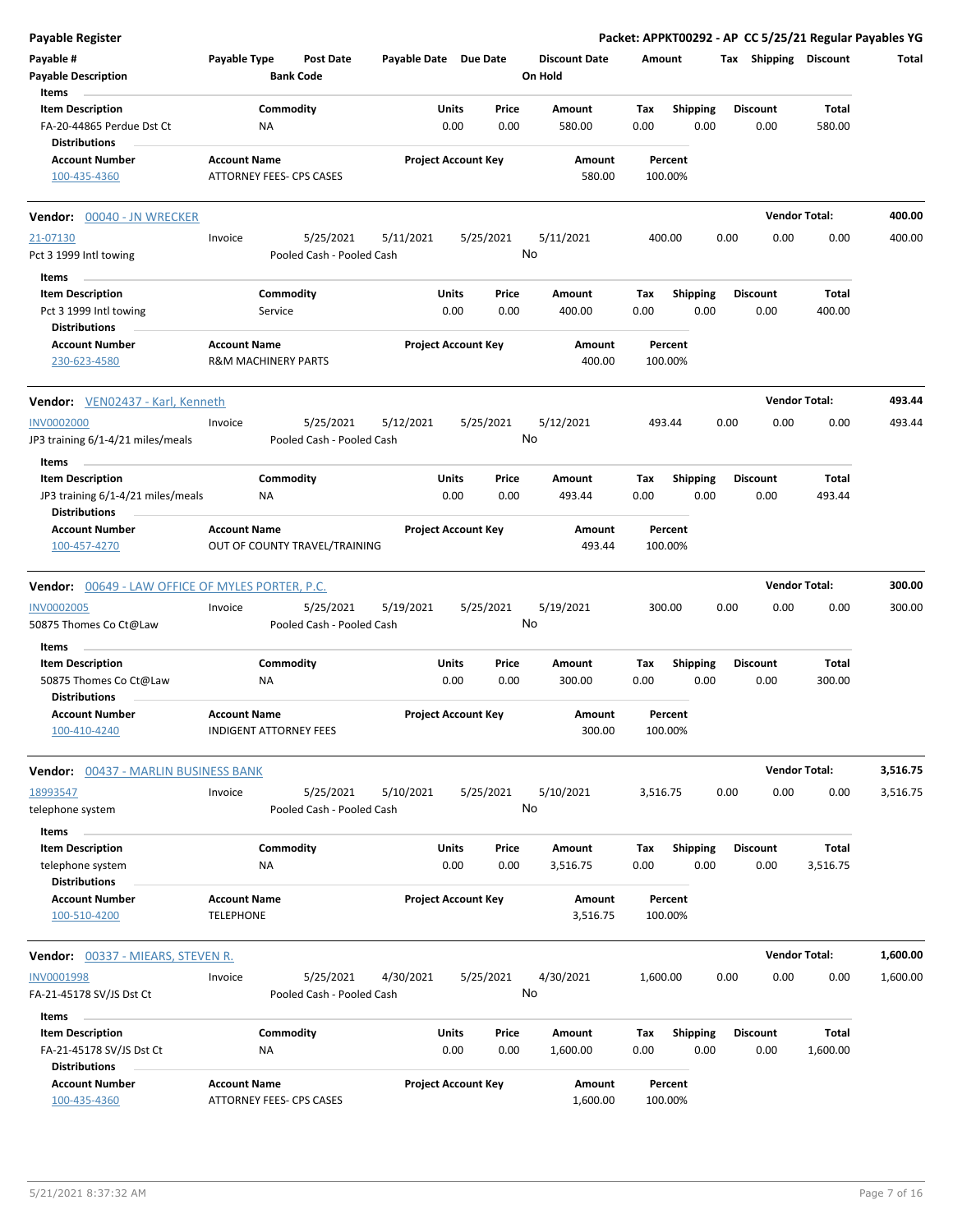| <b>Payable Register</b>                                                               |                                                       |                                        |                       |                            |               |                                 |             |                         |      |                         | Packet: APPKT00292 - AP CC 5/25/21 Regular Payables YG |          |
|---------------------------------------------------------------------------------------|-------------------------------------------------------|----------------------------------------|-----------------------|----------------------------|---------------|---------------------------------|-------------|-------------------------|------|-------------------------|--------------------------------------------------------|----------|
| Payable #<br><b>Payable Description</b>                                               | Payable Type                                          | <b>Post Date</b><br><b>Bank Code</b>   | Payable Date Due Date |                            |               | <b>Discount Date</b><br>On Hold | Amount      |                         |      | Tax Shipping Discount   |                                                        | Total    |
| Items<br><b>Item Description</b><br>FA-20-44865 Perdue Dst Ct<br><b>Distributions</b> | Commodity<br><b>NA</b>                                |                                        |                       | Units<br>0.00              | Price<br>0.00 | Amount<br>580.00                | Tax<br>0.00 | <b>Shipping</b><br>0.00 |      | <b>Discount</b><br>0.00 | Total<br>580.00                                        |          |
| <b>Account Number</b><br>100-435-4360                                                 | <b>Account Name</b><br>ATTORNEY FEES- CPS CASES       |                                        |                       | <b>Project Account Key</b> |               | Amount<br>580.00                |             | Percent<br>100.00%      |      |                         |                                                        |          |
| Vendor: 00040 - JN WRECKER                                                            |                                                       |                                        |                       |                            |               |                                 |             |                         |      |                         | <b>Vendor Total:</b>                                   | 400.00   |
| 21-07130<br>Pct 3 1999 Intl towing                                                    | Invoice                                               | 5/25/2021<br>Pooled Cash - Pooled Cash | 5/11/2021             | 5/25/2021                  | No            | 5/11/2021                       | 400.00      |                         | 0.00 | 0.00                    | 0.00                                                   | 400.00   |
| Items<br><b>Item Description</b><br>Pct 3 1999 Intl towing                            | Commodity<br>Service                                  |                                        |                       | Units<br>0.00              | Price<br>0.00 | Amount<br>400.00                | Тах<br>0.00 | <b>Shipping</b><br>0.00 |      | <b>Discount</b><br>0.00 | Total<br>400.00                                        |          |
| <b>Distributions</b><br><b>Account Number</b><br>230-623-4580                         | <b>Account Name</b><br><b>R&amp;M MACHINERY PARTS</b> |                                        |                       | <b>Project Account Key</b> |               | Amount<br>400.00                |             | Percent<br>100.00%      |      |                         |                                                        |          |
| Vendor: VEN02437 - Karl, Kenneth                                                      |                                                       |                                        |                       |                            |               |                                 |             |                         |      |                         | <b>Vendor Total:</b>                                   | 493.44   |
| <b>INV0002000</b><br>JP3 training 6/1-4/21 miles/meals                                | Invoice                                               | 5/25/2021<br>Pooled Cash - Pooled Cash | 5/12/2021             | 5/25/2021                  | No            | 5/12/2021                       | 493.44      |                         | 0.00 | 0.00                    | 0.00                                                   | 493.44   |
| Items<br><b>Item Description</b>                                                      | Commodity                                             |                                        |                       | Units                      | Price         | Amount                          | Тах         | Shipping                |      | <b>Discount</b>         | Total                                                  |          |
| JP3 training 6/1-4/21 miles/meals<br><b>Distributions</b>                             | NA                                                    |                                        |                       | 0.00                       | 0.00          | 493.44                          | 0.00        | 0.00                    |      | 0.00                    | 493.44                                                 |          |
| <b>Account Number</b><br>100-457-4270                                                 | <b>Account Name</b><br>OUT OF COUNTY TRAVEL/TRAINING  |                                        |                       | <b>Project Account Key</b> |               | Amount<br>493.44                |             | Percent<br>100.00%      |      |                         |                                                        |          |
| <b>Vendor:</b> 00649 - LAW OFFICE OF MYLES PORTER, P.C.                               |                                                       |                                        |                       |                            |               |                                 |             |                         |      |                         | <b>Vendor Total:</b>                                   | 300.00   |
| <b>INV0002005</b><br>50875 Thomes Co Ct@Law                                           | Invoice                                               | 5/25/2021<br>Pooled Cash - Pooled Cash | 5/19/2021             | 5/25/2021                  | No            | 5/19/2021                       | 300.00      |                         | 0.00 | 0.00                    | 0.00                                                   | 300.00   |
| Items<br><b>Item Description</b><br>50875 Thomes Co Ct@Law<br><b>Distributions</b>    | Commodity<br>ΝA                                       |                                        |                       | Units<br>0.00              | Price<br>0.00 | Amount<br>300.00                | Tax<br>0.00 | Shipping<br>0.00        |      | <b>Discount</b><br>0.00 | Total<br>300.00                                        |          |
| <b>Account Number</b><br>100-410-4240                                                 | <b>Account Name</b><br><b>INDIGENT ATTORNEY FEES</b>  |                                        |                       | <b>Project Account Key</b> |               | Amount<br>300.00                | 100.00%     | Percent                 |      |                         |                                                        |          |
| Vendor: 00437 - MARLIN BUSINESS BANK                                                  |                                                       |                                        |                       |                            |               |                                 |             |                         |      |                         | <b>Vendor Total:</b>                                   | 3,516.75 |
| 18993547<br>telephone system                                                          | Invoice                                               | 5/25/2021<br>Pooled Cash - Pooled Cash | 5/10/2021             | 5/25/2021                  | No            | 5/10/2021                       | 3,516.75    |                         | 0.00 | 0.00                    | 0.00                                                   | 3,516.75 |
| Items<br><b>Item Description</b><br>telephone system<br><b>Distributions</b>          | Commodity<br>ΝA                                       |                                        |                       | Units<br>0.00              | Price<br>0.00 | Amount<br>3,516.75              | Tax<br>0.00 | <b>Shipping</b><br>0.00 |      | <b>Discount</b><br>0.00 | Total<br>3,516.75                                      |          |
| <b>Account Number</b><br>100-510-4200                                                 | <b>Account Name</b><br><b>TELEPHONE</b>               |                                        |                       | <b>Project Account Key</b> |               | Amount<br>3,516.75              |             | Percent<br>100.00%      |      |                         |                                                        |          |
| Vendor: 00337 - MIEARS, STEVEN R.                                                     |                                                       |                                        |                       |                            |               |                                 |             |                         |      |                         | <b>Vendor Total:</b>                                   | 1,600.00 |
| <b>INV0001998</b><br>FA-21-45178 SV/JS Dst Ct                                         | Invoice                                               | 5/25/2021<br>Pooled Cash - Pooled Cash | 4/30/2021             | 5/25/2021                  | No            | 4/30/2021                       | 1,600.00    |                         | 0.00 | 0.00                    | 0.00                                                   | 1,600.00 |
| Items                                                                                 |                                                       |                                        |                       |                            |               |                                 |             |                         |      |                         |                                                        |          |
| <b>Item Description</b><br>FA-21-45178 SV/JS Dst Ct<br><b>Distributions</b>           | Commodity<br><b>NA</b>                                |                                        |                       | Units<br>0.00              | Price<br>0.00 | Amount<br>1,600.00              | Tax<br>0.00 | <b>Shipping</b><br>0.00 |      | <b>Discount</b><br>0.00 | Total<br>1,600.00                                      |          |
| <b>Account Number</b><br>100-435-4360                                                 | <b>Account Name</b><br>ATTORNEY FEES- CPS CASES       |                                        |                       | <b>Project Account Key</b> |               | Amount<br>1,600.00              |             | Percent<br>100.00%      |      |                         |                                                        |          |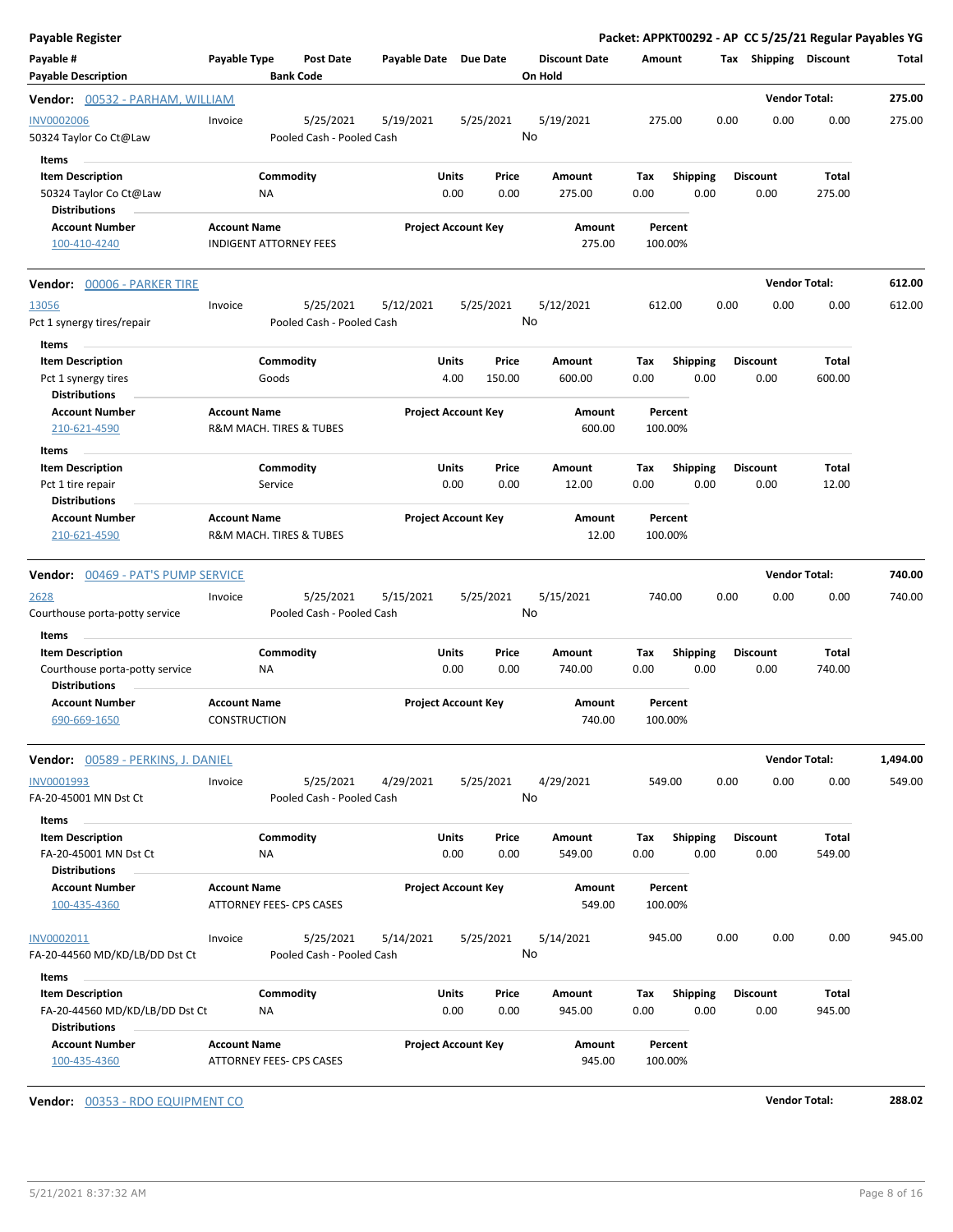| <b>Payable Register</b>                                                                    |                                                        |                                        |                       |                                  |                                 |                    |                         | Packet: APPKT00292 - AP CC 5/25/21 Regular Payables YG |                      |          |
|--------------------------------------------------------------------------------------------|--------------------------------------------------------|----------------------------------------|-----------------------|----------------------------------|---------------------------------|--------------------|-------------------------|--------------------------------------------------------|----------------------|----------|
| Payable #<br><b>Payable Description</b>                                                    | Payable Type                                           | <b>Post Date</b><br><b>Bank Code</b>   | Payable Date Due Date |                                  | <b>Discount Date</b><br>On Hold | Amount             |                         | Tax Shipping Discount                                  |                      | Total    |
| Vendor: 00532 - PARHAM, WILLIAM                                                            |                                                        |                                        |                       |                                  |                                 |                    |                         |                                                        | <b>Vendor Total:</b> | 275.00   |
| <b>INV0002006</b><br>50324 Taylor Co Ct@Law                                                | Invoice                                                | 5/25/2021<br>Pooled Cash - Pooled Cash | 5/19/2021             | 5/25/2021                        | 5/19/2021<br>No                 | 275.00             |                         | 0.00<br>0.00                                           | 0.00                 | 275.00   |
| Items<br><b>Item Description</b><br>50324 Taylor Co Ct@Law<br><b>Distributions</b>         | ΝA                                                     | Commodity                              |                       | Units<br>Price<br>0.00<br>0.00   | Amount<br>275.00                | Tax<br>0.00        | <b>Shipping</b><br>0.00 | <b>Discount</b><br>0.00                                | Total<br>275.00      |          |
| <b>Account Number</b><br>100-410-4240                                                      | <b>Account Name</b><br><b>INDIGENT ATTORNEY FEES</b>   |                                        |                       | <b>Project Account Key</b>       | <b>Amount</b><br>275.00         | Percent<br>100.00% |                         |                                                        |                      |          |
| <b>Vendor:</b> 00006 - PARKER TIRE                                                         |                                                        |                                        |                       |                                  |                                 |                    |                         |                                                        | <b>Vendor Total:</b> | 612.00   |
| 13056<br>Pct 1 synergy tires/repair<br>Items                                               | Invoice                                                | 5/25/2021<br>Pooled Cash - Pooled Cash | 5/12/2021             | 5/25/2021                        | 5/12/2021<br>No                 | 612.00             |                         | 0.00<br>0.00                                           | 0.00                 | 612.00   |
| <b>Item Description</b><br>Pct 1 synergy tires<br><b>Distributions</b>                     | Goods                                                  | Commodity                              |                       | Units<br>Price<br>4.00<br>150.00 | Amount<br>600.00                | Tax<br>0.00        | <b>Shipping</b><br>0.00 | <b>Discount</b><br>0.00                                | Total<br>600.00      |          |
| <b>Account Number</b><br>210-621-4590<br>Items                                             | <b>Account Name</b><br>R&M MACH. TIRES & TUBES         |                                        |                       | <b>Project Account Key</b>       | <b>Amount</b><br>600.00         | Percent<br>100.00% |                         |                                                        |                      |          |
| <b>Item Description</b><br>Pct 1 tire repair<br><b>Distributions</b>                       | Service                                                | Commodity                              |                       | Units<br>Price<br>0.00<br>0.00   | Amount<br>12.00                 | Tax<br>0.00        | <b>Shipping</b><br>0.00 | <b>Discount</b><br>0.00                                | Total<br>12.00       |          |
| <b>Account Number</b><br>210-621-4590                                                      | <b>Account Name</b><br>R&M MACH. TIRES & TUBES         |                                        |                       | <b>Project Account Key</b>       | Amount<br>12.00                 | Percent<br>100.00% |                         |                                                        |                      |          |
| Vendor: 00469 - PAT'S PUMP SERVICE                                                         |                                                        |                                        |                       |                                  |                                 |                    |                         |                                                        | <b>Vendor Total:</b> | 740.00   |
| <u> 2628</u><br>Courthouse porta-potty service                                             | Invoice                                                | 5/25/2021<br>Pooled Cash - Pooled Cash | 5/15/2021             | 5/25/2021                        | 5/15/2021<br>No                 | 740.00             |                         | 0.00<br>0.00                                           | 0.00                 | 740.00   |
| Items<br><b>Item Description</b><br>Courthouse porta-potty service<br><b>Distributions</b> | ΝA                                                     | Commodity                              |                       | Units<br>Price<br>0.00<br>0.00   | Amount<br>740.00                | Tax<br>0.00        | <b>Shipping</b><br>0.00 | <b>Discount</b><br>0.00                                | Total<br>740.00      |          |
| <b>Account Number</b><br>690-669-1650                                                      | <b>Account Name</b><br>CONSTRUCTION                    |                                        |                       | <b>Project Account Key</b>       | Amount<br>740.00                | Percent<br>100.00% |                         |                                                        |                      |          |
| <b>Vendor:</b> 00589 - PERKINS, J. DANIEL                                                  |                                                        |                                        |                       |                                  |                                 |                    |                         |                                                        | <b>Vendor Total:</b> | 1,494.00 |
| INV0001993<br>FA-20-45001 MN Dst Ct                                                        | Invoice                                                | 5/25/2021<br>Pooled Cash - Pooled Cash | 4/29/2021             | 5/25/2021                        | 4/29/2021<br>No                 | 549.00             |                         | 0.00<br>0.00                                           | 0.00                 | 549.00   |
| Items<br><b>Item Description</b><br>FA-20-45001 MN Dst Ct<br><b>Distributions</b>          | ΝA                                                     | Commodity                              |                       | Units<br>Price<br>0.00<br>0.00   | Amount<br>549.00                | Tax<br>0.00        | <b>Shipping</b><br>0.00 | <b>Discount</b><br>0.00                                | Total<br>549.00      |          |
| <b>Account Number</b><br>100-435-4360                                                      | <b>Account Name</b><br><b>ATTORNEY FEES- CPS CASES</b> |                                        |                       | <b>Project Account Key</b>       | <b>Amount</b><br>549.00         | Percent<br>100.00% |                         |                                                        |                      |          |
| INV0002011<br>FA-20-44560 MD/KD/LB/DD Dst Ct                                               | Invoice                                                | 5/25/2021<br>Pooled Cash - Pooled Cash | 5/14/2021             | 5/25/2021                        | 5/14/2021<br>No                 | 945.00             |                         | 0.00<br>0.00                                           | 0.00                 | 945.00   |
| Items<br><b>Item Description</b>                                                           |                                                        | Commodity                              |                       | Units<br>Price                   | Amount                          | Tax                | <b>Shipping</b>         | <b>Discount</b>                                        | Total                |          |
| FA-20-44560 MD/KD/LB/DD Dst Ct<br><b>Distributions</b>                                     | ΝA                                                     |                                        |                       | 0.00<br>0.00                     | 945.00                          | 0.00               | 0.00                    | 0.00                                                   | 945.00               |          |
| <b>Account Number</b><br>100-435-4360                                                      | <b>Account Name</b><br>ATTORNEY FEES- CPS CASES        |                                        |                       | <b>Project Account Key</b>       | Amount<br>945.00                | Percent<br>100.00% |                         |                                                        |                      |          |

**Vendor:** 00353 - RDO EQUIPMENT CO **Vendor Total: 288.02**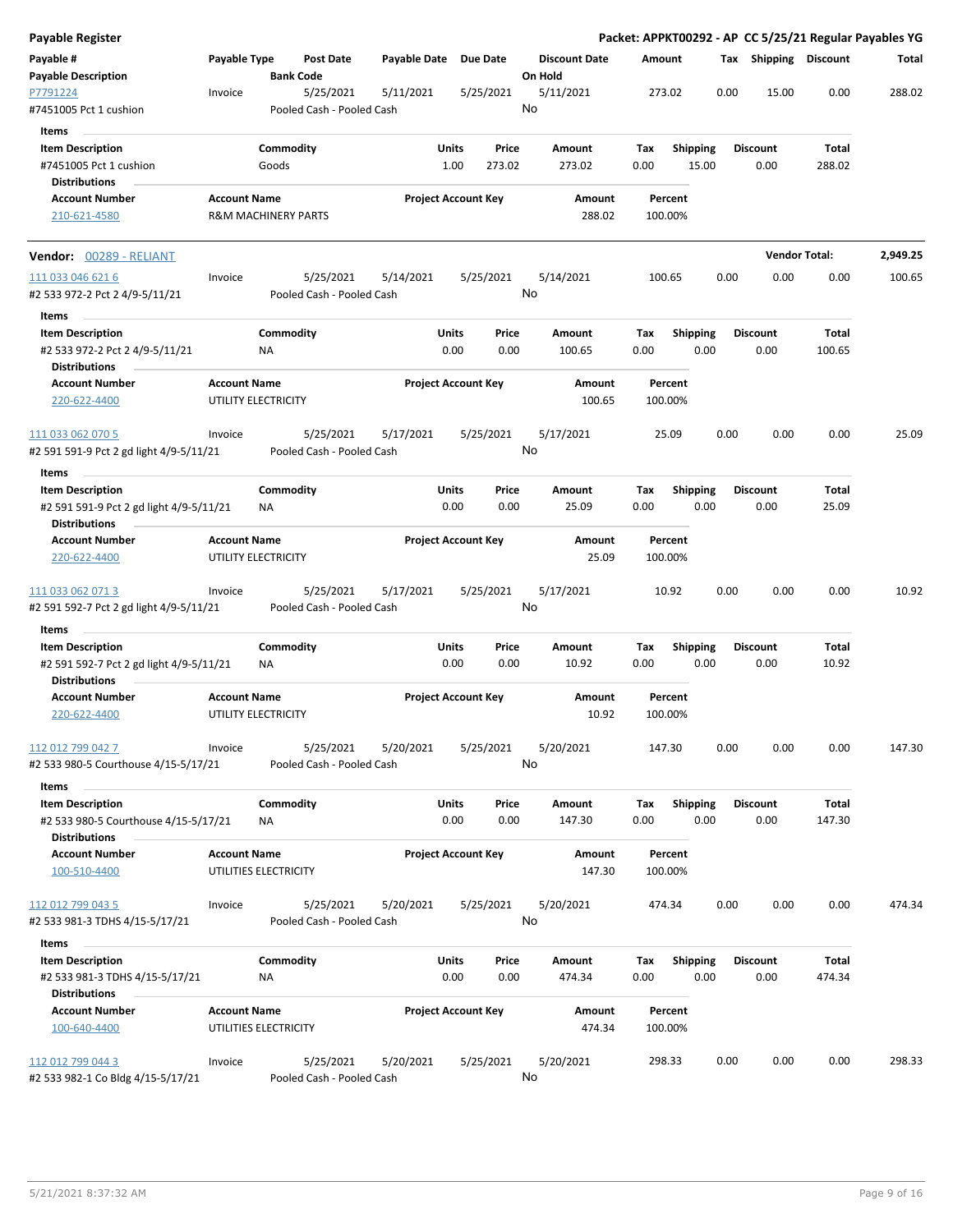| <b>Payable Register</b>                                                                    |                     |                                |                                        |                       |                      |                            |         |                         |             |                    |                         |      |                         |                      | Packet: APPKT00292 - AP CC 5/25/21 Regular Payables YG |
|--------------------------------------------------------------------------------------------|---------------------|--------------------------------|----------------------------------------|-----------------------|----------------------|----------------------------|---------|-------------------------|-------------|--------------------|-------------------------|------|-------------------------|----------------------|--------------------------------------------------------|
| Payable #<br><b>Payable Description</b>                                                    | Payable Type        | <b>Bank Code</b>               | <b>Post Date</b>                       | Payable Date Due Date |                      |                            | On Hold | <b>Discount Date</b>    |             | Amount             |                         |      | Tax Shipping Discount   |                      | Total                                                  |
| P7791224<br>#7451005 Pct 1 cushion                                                         | Invoice             |                                | 5/25/2021<br>Pooled Cash - Pooled Cash | 5/11/2021             |                      | 5/25/2021                  | No      | 5/11/2021               |             | 273.02             |                         | 0.00 | 15.00                   | 0.00                 | 288.02                                                 |
| Items                                                                                      |                     |                                |                                        |                       |                      |                            |         |                         |             |                    |                         |      |                         |                      |                                                        |
| <b>Item Description</b>                                                                    |                     | Commodity                      |                                        |                       | Units                | Price                      |         | Amount                  | Tax         |                    | <b>Shipping</b>         |      | <b>Discount</b>         | Total                |                                                        |
| #7451005 Pct 1 cushion                                                                     |                     | Goods                          |                                        |                       | 1.00                 | 273.02                     |         | 273.02                  | 0.00        |                    | 15.00                   |      | 0.00                    | 288.02               |                                                        |
| <b>Distributions</b>                                                                       |                     |                                |                                        |                       |                      |                            |         |                         |             |                    |                         |      |                         |                      |                                                        |
| <b>Account Number</b>                                                                      | <b>Account Name</b> |                                |                                        |                       |                      | <b>Project Account Key</b> |         | Amount                  |             | Percent            |                         |      |                         |                      |                                                        |
| 210-621-4580                                                                               |                     | <b>R&amp;M MACHINERY PARTS</b> |                                        |                       |                      |                            |         | 288.02                  |             | 100.00%            |                         |      |                         |                      |                                                        |
| <b>Vendor:</b> 00289 - RELIANT                                                             |                     |                                |                                        |                       |                      |                            |         |                         |             |                    |                         |      |                         | <b>Vendor Total:</b> | 2,949.25                                               |
| 111 033 046 621 6                                                                          | Invoice             |                                | 5/25/2021                              | 5/14/2021             |                      | 5/25/2021                  |         | 5/14/2021               |             | 100.65             |                         | 0.00 | 0.00                    | 0.00                 | 100.65                                                 |
| #2 533 972-2 Pct 2 4/9-5/11/21                                                             |                     |                                | Pooled Cash - Pooled Cash              |                       |                      |                            | No      |                         |             |                    |                         |      |                         |                      |                                                        |
| Items                                                                                      |                     |                                |                                        |                       |                      |                            |         |                         |             |                    |                         |      |                         |                      |                                                        |
| <b>Item Description</b>                                                                    |                     | Commodity                      |                                        |                       | Units                | Price                      |         | Amount                  | Tax         |                    | Shipping                |      | <b>Discount</b>         | Total                |                                                        |
|                                                                                            |                     |                                |                                        |                       | 0.00                 | 0.00                       |         | 100.65                  | 0.00        |                    | 0.00                    |      | 0.00                    | 100.65               |                                                        |
| #2 533 972-2 Pct 2 4/9-5/11/21<br><b>Distributions</b>                                     |                     | ΝA                             |                                        |                       |                      |                            |         |                         |             |                    |                         |      |                         |                      |                                                        |
| <b>Account Number</b><br>220-622-4400                                                      | <b>Account Name</b> | UTILITY ELECTRICITY            |                                        |                       |                      | <b>Project Account Key</b> |         | <b>Amount</b><br>100.65 |             | Percent<br>100.00% |                         |      |                         |                      |                                                        |
| 111 033 062 070 5                                                                          | Invoice             |                                | 5/25/2021                              | 5/17/2021             |                      | 5/25/2021                  |         | 5/17/2021               |             | 25.09              |                         | 0.00 | 0.00                    | 0.00                 | 25.09                                                  |
| #2 591 591-9 Pct 2 gd light 4/9-5/11/21                                                    |                     |                                | Pooled Cash - Pooled Cash              |                       |                      |                            | No      |                         |             |                    |                         |      |                         |                      |                                                        |
| Items                                                                                      |                     |                                |                                        |                       |                      |                            |         |                         |             |                    |                         |      |                         |                      |                                                        |
| <b>Item Description</b>                                                                    |                     | Commodity                      |                                        |                       | Units                | Price                      |         | Amount                  | Tax         |                    | <b>Shipping</b>         |      | <b>Discount</b>         | Total                |                                                        |
| #2 591 591-9 Pct 2 gd light 4/9-5/11/21<br><b>Distributions</b>                            |                     | NA                             |                                        |                       | 0.00                 | 0.00                       |         | 25.09                   | 0.00        |                    | 0.00                    |      | 0.00                    | 25.09                |                                                        |
| <b>Account Number</b>                                                                      | <b>Account Name</b> |                                |                                        |                       |                      | <b>Project Account Key</b> |         | Amount                  |             | Percent            |                         |      |                         |                      |                                                        |
| 220-622-4400                                                                               |                     | UTILITY ELECTRICITY            |                                        |                       |                      |                            |         | 25.09                   |             | 100.00%            |                         |      |                         |                      |                                                        |
| 111 033 062 071 3                                                                          | Invoice             |                                | 5/25/2021                              | 5/17/2021             |                      | 5/25/2021                  | No      | 5/17/2021               |             | 10.92              |                         | 0.00 | 0.00                    | 0.00                 | 10.92                                                  |
| #2 591 592-7 Pct 2 gd light 4/9-5/11/21                                                    |                     |                                | Pooled Cash - Pooled Cash              |                       |                      |                            |         |                         |             |                    |                         |      |                         |                      |                                                        |
| Items                                                                                      |                     |                                |                                        |                       |                      |                            |         |                         |             |                    |                         |      |                         |                      |                                                        |
| <b>Item Description</b><br>#2 591 592-7 Pct 2 gd light 4/9-5/11/21<br><b>Distributions</b> |                     | Commodity<br>ΝA                |                                        |                       | Units<br>0.00        | Price<br>0.00              |         | Amount<br>10.92         | Tax<br>0.00 |                    | <b>Shipping</b><br>0.00 |      | <b>Discount</b><br>0.00 | Total<br>10.92       |                                                        |
| <b>Account Number</b><br>220-622-4400                                                      | <b>Account Name</b> | UTILITY ELECTRICITY            |                                        |                       |                      | <b>Project Account Key</b> |         | Amount<br>10.92         |             | Percent<br>100.00% |                         |      |                         |                      |                                                        |
|                                                                                            |                     |                                |                                        |                       |                      |                            |         |                         |             |                    |                         |      |                         |                      |                                                        |
| 112 012 799 042 7<br>#2 533 980-5 Courthouse 4/15-5/17/21                                  | Invoice             |                                | 5/25/2021<br>Pooled Cash - Pooled Cash | 5/20/2021             |                      | 5/25/2021                  | No      | 5/20/2021               |             | 147.30             |                         | 0.00 | 0.00                    | 0.00                 | 147.30                                                 |
| Items                                                                                      |                     |                                |                                        |                       |                      |                            |         |                         |             |                    |                         |      |                         |                      |                                                        |
| <b>Item Description</b><br>#2 533 980-5 Courthouse 4/15-5/17/21                            |                     | Commodity<br>NA                |                                        |                       | <b>Units</b><br>0.00 | Price<br>0.00              |         | Amount<br>147.30        | Tax<br>0.00 |                    | <b>Shipping</b><br>0.00 |      | <b>Discount</b><br>0.00 | Total<br>147.30      |                                                        |
| <b>Distributions</b>                                                                       |                     |                                |                                        |                       |                      |                            |         |                         |             |                    |                         |      |                         |                      |                                                        |
| <b>Account Number</b>                                                                      | <b>Account Name</b> |                                |                                        |                       |                      | <b>Project Account Key</b> |         | Amount                  |             | Percent            |                         |      |                         |                      |                                                        |
| 100-510-4400                                                                               |                     | UTILITIES ELECTRICITY          |                                        |                       |                      |                            |         | 147.30                  |             | 100.00%            |                         |      |                         |                      |                                                        |
| 112 012 799 043 5                                                                          | Invoice             |                                | 5/25/2021                              | 5/20/2021             |                      | 5/25/2021                  |         | 5/20/2021               |             | 474.34             |                         | 0.00 | 0.00                    | 0.00                 | 474.34                                                 |
| #2 533 981-3 TDHS 4/15-5/17/21                                                             |                     |                                | Pooled Cash - Pooled Cash              |                       |                      |                            | No      |                         |             |                    |                         |      |                         |                      |                                                        |
|                                                                                            |                     |                                |                                        |                       |                      |                            |         |                         |             |                    |                         |      |                         |                      |                                                        |
| Items                                                                                      |                     |                                |                                        |                       |                      |                            |         |                         |             |                    |                         |      |                         |                      |                                                        |
| <b>Item Description</b>                                                                    |                     | Commodity                      |                                        |                       | Units                | Price                      |         | Amount                  | Tax         |                    | <b>Shipping</b>         |      | <b>Discount</b>         | Total                |                                                        |
| #2 533 981-3 TDHS 4/15-5/17/21                                                             |                     | NA                             |                                        |                       | 0.00                 | 0.00                       |         | 474.34                  | 0.00        |                    | 0.00                    |      | 0.00                    | 474.34               |                                                        |
| <b>Distributions</b>                                                                       |                     |                                |                                        |                       |                      |                            |         |                         |             |                    |                         |      |                         |                      |                                                        |
| <b>Account Number</b><br>100-640-4400                                                      | <b>Account Name</b> | UTILITIES ELECTRICITY          |                                        |                       |                      | <b>Project Account Key</b> |         | Amount<br>474.34        |             | Percent<br>100.00% |                         |      |                         |                      |                                                        |
| 112 012 799 044 3                                                                          | Invoice             |                                | 5/25/2021                              | 5/20/2021             |                      | 5/25/2021                  |         | 5/20/2021               |             | 298.33             |                         | 0.00 | 0.00                    | 0.00                 | 298.33                                                 |
| #2 533 982-1 Co Bldg 4/15-5/17/21                                                          |                     |                                | Pooled Cash - Pooled Cash              |                       |                      |                            | No      |                         |             |                    |                         |      |                         |                      |                                                        |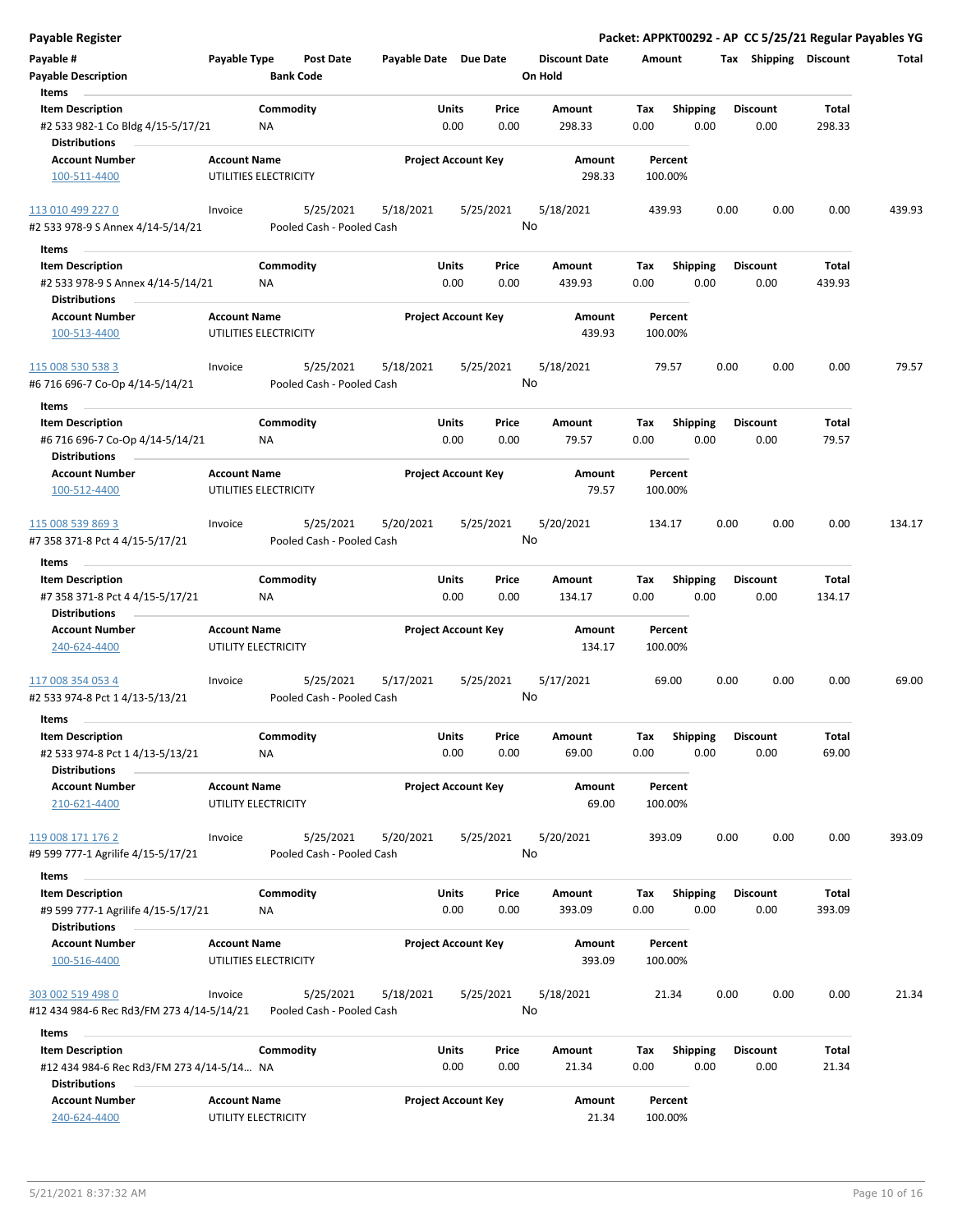| <b>Payable Register</b>                                                            |                     |                                        |                       |                            |               |                                 |                    |                         |      |                         |                 | Packet: APPKT00292 - AP CC 5/25/21 Regular Payables YG |
|------------------------------------------------------------------------------------|---------------------|----------------------------------------|-----------------------|----------------------------|---------------|---------------------------------|--------------------|-------------------------|------|-------------------------|-----------------|--------------------------------------------------------|
| Payable #<br><b>Payable Description</b>                                            | Payable Type        | <b>Post Date</b><br><b>Bank Code</b>   | Payable Date Due Date |                            |               | <b>Discount Date</b><br>On Hold | Amount             |                         |      | Tax Shipping Discount   |                 | Total                                                  |
| Items                                                                              |                     |                                        |                       |                            |               |                                 |                    |                         |      |                         |                 |                                                        |
| <b>Item Description</b><br>#2 533 982-1 Co Bldg 4/15-5/17/21                       |                     | Commodity<br>ΝA                        |                       | Units<br>0.00              | Price<br>0.00 | Amount<br>298.33                | Tax<br>0.00        | Shipping<br>0.00        |      | <b>Discount</b><br>0.00 | Total<br>298.33 |                                                        |
| <b>Distributions</b>                                                               |                     |                                        |                       |                            |               |                                 |                    |                         |      |                         |                 |                                                        |
| <b>Account Number</b><br>100-511-4400                                              | <b>Account Name</b> | UTILITIES ELECTRICITY                  |                       | <b>Project Account Key</b> |               | Amount<br>298.33                | Percent<br>100.00% |                         |      |                         |                 |                                                        |
| 113 010 499 227 0                                                                  | Invoice             | 5/25/2021                              | 5/18/2021             | 5/25/2021                  |               | 5/18/2021                       | 439.93             |                         | 0.00 | 0.00                    | 0.00            | 439.93                                                 |
| #2 533 978-9 S Annex 4/14-5/14/21                                                  |                     | Pooled Cash - Pooled Cash              |                       |                            |               | No                              |                    |                         |      |                         |                 |                                                        |
| Items                                                                              |                     |                                        |                       |                            |               |                                 |                    |                         |      |                         |                 |                                                        |
| <b>Item Description</b>                                                            |                     | Commodity                              |                       | Units                      | Price         | Amount                          | Tax                | <b>Shipping</b>         |      | <b>Discount</b>         | Total           |                                                        |
| #2 533 978-9 S Annex 4/14-5/14/21<br><b>Distributions</b>                          |                     | ΝA                                     |                       | 0.00                       | 0.00          | 439.93                          | 0.00               | 0.00                    |      | 0.00                    | 439.93          |                                                        |
| <b>Account Number</b>                                                              | <b>Account Name</b> |                                        |                       | <b>Project Account Key</b> |               | Amount                          | Percent            |                         |      |                         |                 |                                                        |
| 100-513-4400                                                                       |                     | UTILITIES ELECTRICITY                  |                       |                            |               | 439.93                          | 100.00%            |                         |      |                         |                 |                                                        |
| 115 008 530 538 3<br>#6 716 696-7 Co-Op 4/14-5/14/21                               | Invoice             | 5/25/2021<br>Pooled Cash - Pooled Cash | 5/18/2021             | 5/25/2021                  |               | 5/18/2021<br>No                 | 79.57              |                         | 0.00 | 0.00                    | 0.00            | 79.57                                                  |
| Items                                                                              |                     |                                        |                       |                            |               |                                 |                    |                         |      |                         |                 |                                                        |
| <b>Item Description</b><br>#6 716 696-7 Co-Op 4/14-5/14/21<br><b>Distributions</b> |                     | Commodity<br>NA                        |                       | Units<br>0.00              | Price<br>0.00 | Amount<br>79.57                 | Tax<br>0.00        | <b>Shipping</b><br>0.00 |      | <b>Discount</b><br>0.00 | Total<br>79.57  |                                                        |
| <b>Account Number</b>                                                              | <b>Account Name</b> |                                        |                       | <b>Project Account Key</b> |               | Amount                          | Percent            |                         |      |                         |                 |                                                        |
| 100-512-4400                                                                       |                     | UTILITIES ELECTRICITY                  |                       |                            |               | 79.57                           | 100.00%            |                         |      |                         |                 |                                                        |
| 115 008 539 869 3                                                                  | Invoice             | 5/25/2021                              | 5/20/2021             | 5/25/2021                  |               | 5/20/2021                       | 134.17             |                         | 0.00 | 0.00                    | 0.00            | 134.17                                                 |
| #7 358 371-8 Pct 4 4/15-5/17/21                                                    |                     | Pooled Cash - Pooled Cash              |                       |                            |               | No                              |                    |                         |      |                         |                 |                                                        |
| Items                                                                              |                     |                                        |                       |                            |               |                                 |                    |                         |      |                         |                 |                                                        |
| <b>Item Description</b>                                                            |                     | Commodity                              |                       | Units                      | Price         | Amount                          | Tax                | <b>Shipping</b>         |      | <b>Discount</b>         | Total           |                                                        |
| #7 358 371-8 Pct 4 4/15-5/17/21<br><b>Distributions</b>                            |                     | <b>NA</b>                              |                       | 0.00                       | 0.00          | 134.17                          | 0.00               | 0.00                    |      | 0.00                    | 134.17          |                                                        |
| <b>Account Number</b><br>240-624-4400                                              | <b>Account Name</b> | UTILITY ELECTRICITY                    |                       | <b>Project Account Key</b> |               | Amount<br>134.17                | Percent<br>100.00% |                         |      |                         |                 |                                                        |
| 117 008 354 053 4<br>#2 533 974-8 Pct 1 4/13-5/13/21                               | Invoice             | 5/25/2021<br>Pooled Cash - Pooled Cash | 5/17/2021             | 5/25/2021                  |               | 5/17/2021<br>No                 | 69.00              |                         | 0.00 | 0.00                    | 0.00            | 69.00                                                  |
| Items                                                                              |                     |                                        |                       |                            |               |                                 |                    |                         |      |                         |                 |                                                        |
| <b>Item Description</b>                                                            |                     | Commodity                              |                       | Units                      | Price         | Amount                          | Tax                | <b>Shipping</b>         |      | <b>Discount</b>         | Total           |                                                        |
| #2 533 974-8 Pct 1 4/13-5/13/21<br><b>Distributions</b>                            |                     | <b>NA</b>                              |                       | 0.00                       | 0.00          | 69.00                           | 0.00               | 0.00                    |      | 0.00                    | 69.00           |                                                        |
| <b>Account Number</b><br>210-621-4400                                              | <b>Account Name</b> | UTILITY ELECTRICITY                    |                       | <b>Project Account Key</b> |               | Amount<br>69.00                 | Percent<br>100.00% |                         |      |                         |                 |                                                        |
|                                                                                    |                     |                                        |                       |                            |               |                                 |                    |                         |      |                         |                 |                                                        |
| 119 008 171 176 2                                                                  | Invoice             | 5/25/2021                              | 5/20/2021             | 5/25/2021                  |               | 5/20/2021                       | 393.09             |                         | 0.00 | 0.00                    | 0.00            | 393.09                                                 |
| #9 599 777-1 Agrilife 4/15-5/17/21                                                 |                     | Pooled Cash - Pooled Cash              |                       |                            |               | No                              |                    |                         |      |                         |                 |                                                        |
| Items                                                                              |                     |                                        |                       |                            |               |                                 |                    |                         |      |                         |                 |                                                        |
| <b>Item Description</b>                                                            |                     | Commodity<br>NA                        |                       | Units<br>0.00              | Price         | Amount                          | Tax                | Shipping                |      | <b>Discount</b>         | Total           |                                                        |
| #9 599 777-1 Agrilife 4/15-5/17/21<br><b>Distributions</b>                         |                     |                                        |                       |                            | 0.00          | 393.09                          | 0.00               | 0.00                    |      | 0.00                    | 393.09          |                                                        |
| <b>Account Number</b><br>100-516-4400                                              | <b>Account Name</b> | UTILITIES ELECTRICITY                  |                       | <b>Project Account Key</b> |               | Amount<br>393.09                | Percent<br>100.00% |                         |      |                         |                 |                                                        |
| 303 002 519 498 0                                                                  | Invoice             | 5/25/2021                              | 5/18/2021             | 5/25/2021                  |               | 5/18/2021                       | 21.34              |                         | 0.00 | 0.00                    | 0.00            | 21.34                                                  |
| #12 434 984-6 Rec Rd3/FM 273 4/14-5/14/21                                          |                     | Pooled Cash - Pooled Cash              |                       |                            |               | No                              |                    |                         |      |                         |                 |                                                        |
| Items                                                                              |                     |                                        |                       |                            |               |                                 |                    |                         |      |                         |                 |                                                        |
| <b>Item Description</b><br>#12 434 984-6 Rec Rd3/FM 273 4/14-5/14 NA               |                     | Commodity                              |                       | Units<br>0.00              | Price<br>0.00 | Amount<br>21.34                 | Tax<br>0.00        | <b>Shipping</b><br>0.00 |      | <b>Discount</b><br>0.00 | Total<br>21.34  |                                                        |
| <b>Distributions</b>                                                               |                     |                                        |                       |                            |               |                                 |                    |                         |      |                         |                 |                                                        |
| <b>Account Number</b><br>240-624-4400                                              | <b>Account Name</b> | UTILITY ELECTRICITY                    |                       | <b>Project Account Key</b> |               | Amount<br>21.34                 | Percent<br>100.00% |                         |      |                         |                 |                                                        |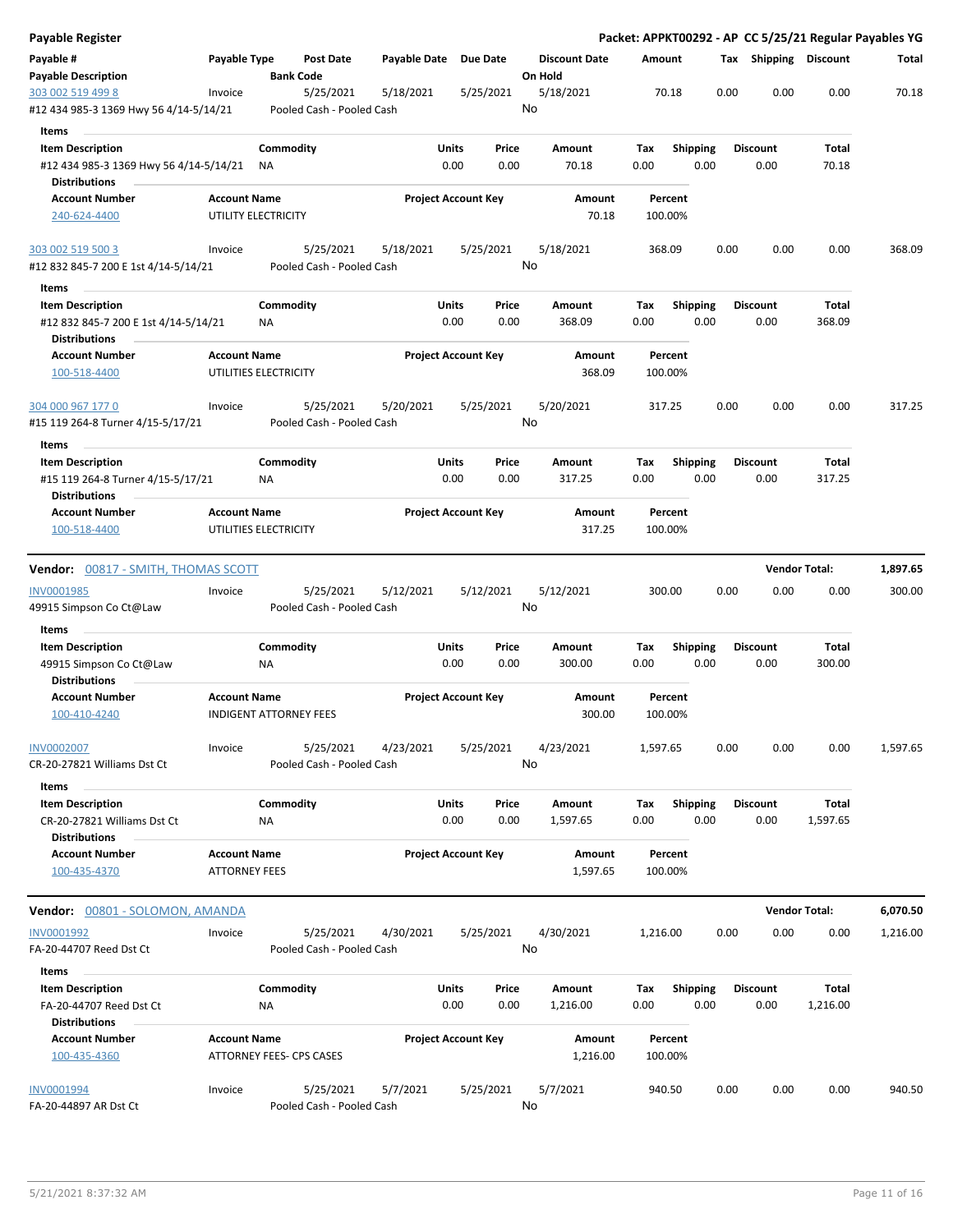| <b>Payable Register</b>                                                                 |                                             |                                        |                       |                                |                                 | Packet: APPKT00292 - AP CC 5/25/21 Regular Payables YG |      |                         |                      |          |
|-----------------------------------------------------------------------------------------|---------------------------------------------|----------------------------------------|-----------------------|--------------------------------|---------------------------------|--------------------------------------------------------|------|-------------------------|----------------------|----------|
| Payable #<br><b>Payable Description</b>                                                 | Payable Type                                | <b>Post Date</b><br><b>Bank Code</b>   | Payable Date Due Date |                                | <b>Discount Date</b><br>On Hold | Amount                                                 |      | Tax Shipping Discount   |                      | Total    |
| 303 002 519 499 8<br>#12 434 985-3 1369 Hwy 56 4/14-5/14/21                             | Invoice                                     | 5/25/2021<br>Pooled Cash - Pooled Cash | 5/18/2021             | 5/25/2021                      | 5/18/2021<br>No                 | 70.18                                                  | 0.00 | 0.00                    | 0.00                 | 70.18    |
| Items<br><b>Item Description</b><br>#12 434 985-3 1369 Hwy 56 4/14-5/14/21              |                                             | Commodity<br>ΝA                        |                       | Units<br>Price<br>0.00<br>0.00 | Amount<br>70.18                 | <b>Shipping</b><br>Tax<br>0.00<br>0.00                 |      | <b>Discount</b><br>0.00 | Total<br>70.18       |          |
| <b>Distributions</b><br><b>Account Number</b>                                           | <b>Account Name</b>                         |                                        |                       | <b>Project Account Key</b>     | Amount                          | Percent                                                |      |                         |                      |          |
| 240-624-4400                                                                            |                                             | UTILITY ELECTRICITY                    |                       |                                | 70.18                           | 100.00%                                                |      |                         |                      |          |
| 303 002 519 500 3<br>#12 832 845-7 200 E 1st 4/14-5/14/21                               | Invoice                                     | 5/25/2021<br>Pooled Cash - Pooled Cash | 5/18/2021             | 5/25/2021                      | 5/18/2021<br>No                 | 368.09                                                 | 0.00 | 0.00                    | 0.00                 | 368.09   |
| Items                                                                                   |                                             |                                        |                       |                                |                                 |                                                        |      |                         |                      |          |
| <b>Item Description</b><br>#12 832 845-7 200 E 1st 4/14-5/14/21<br><b>Distributions</b> |                                             | Commodity<br>NA                        |                       | Units<br>Price<br>0.00<br>0.00 | Amount<br>368.09                | Shipping<br>Tax<br>0.00<br>0.00                        |      | <b>Discount</b><br>0.00 | Total<br>368.09      |          |
| <b>Account Number</b><br>100-518-4400                                                   | <b>Account Name</b>                         | UTILITIES ELECTRICITY                  |                       | <b>Project Account Key</b>     | Amount<br>368.09                | Percent<br>100.00%                                     |      |                         |                      |          |
| 304 000 967 177 0<br>#15 119 264-8 Turner 4/15-5/17/21                                  | Invoice                                     | 5/25/2021<br>Pooled Cash - Pooled Cash | 5/20/2021             | 5/25/2021                      | 5/20/2021<br>No                 | 317.25                                                 | 0.00 | 0.00                    | 0.00                 | 317.25   |
| Items                                                                                   |                                             |                                        |                       |                                |                                 |                                                        |      |                         |                      |          |
| <b>Item Description</b><br>#15 119 264-8 Turner 4/15-5/17/21<br><b>Distributions</b>    |                                             | Commodity<br>ΝA                        |                       | Units<br>Price<br>0.00<br>0.00 | Amount<br>317.25                | Tax<br><b>Shipping</b><br>0.00<br>0.00                 |      | <b>Discount</b><br>0.00 | Total<br>317.25      |          |
| <b>Account Number</b><br>100-518-4400                                                   | <b>Account Name</b>                         | UTILITIES ELECTRICITY                  |                       | <b>Project Account Key</b>     | Amount<br>317.25                | Percent<br>100.00%                                     |      |                         |                      |          |
| <b>Vendor:</b> 00817 - SMITH, THOMAS SCOTT                                              |                                             |                                        |                       |                                |                                 |                                                        |      |                         | <b>Vendor Total:</b> | 1,897.65 |
| <b>INV0001985</b><br>49915 Simpson Co Ct@Law                                            | Invoice                                     | 5/25/2021<br>Pooled Cash - Pooled Cash | 5/12/2021             | 5/12/2021                      | 5/12/2021<br>No                 | 300.00                                                 | 0.00 | 0.00                    | 0.00                 | 300.00   |
| Items<br><b>Item Description</b><br>49915 Simpson Co Ct@Law                             |                                             | Commodity<br>NA                        |                       | Units<br>Price<br>0.00<br>0.00 | Amount<br>300.00                | Tax<br><b>Shipping</b><br>0.00<br>0.00                 |      | <b>Discount</b><br>0.00 | Total<br>300.00      |          |
| <b>Distributions</b>                                                                    |                                             |                                        |                       |                                |                                 |                                                        |      |                         |                      |          |
| <b>Account Number</b><br>100-410-4240                                                   | <b>Account Name</b>                         | <b>INDIGENT ATTORNEY FEES</b>          |                       | <b>Project Account Key</b>     | Amount<br>300.00                | Percent<br>100.00%                                     |      |                         |                      |          |
| <b>INV0002007</b><br>CR-20-27821 Williams Dst Ct                                        | Invoice                                     | 5/25/2021<br>Pooled Cash - Pooled Cash | 4/23/2021             | 5/25/2021                      | 4/23/2021<br>No                 | 1,597.65                                               | 0.00 | 0.00                    | 0.00                 | 1,597.65 |
| Items                                                                                   |                                             |                                        |                       |                                |                                 |                                                        |      |                         |                      |          |
| <b>Item Description</b><br>CR-20-27821 Williams Dst Ct<br><b>Distributions</b>          |                                             | Commodity<br>NA                        |                       | Units<br>Price<br>0.00<br>0.00 | Amount<br>1,597.65              | <b>Shipping</b><br>Tax<br>0.00<br>0.00                 |      | <b>Discount</b><br>0.00 | Total<br>1,597.65    |          |
| <b>Account Number</b><br>100-435-4370                                                   | <b>Account Name</b><br><b>ATTORNEY FEES</b> |                                        |                       | <b>Project Account Key</b>     | Amount<br>1,597.65              | Percent<br>100.00%                                     |      |                         |                      |          |
| Vendor: 00801 - SOLOMON, AMANDA                                                         |                                             |                                        |                       |                                |                                 |                                                        |      |                         | <b>Vendor Total:</b> | 6,070.50 |
| INV0001992<br>FA-20-44707 Reed Dst Ct                                                   | Invoice                                     | 5/25/2021<br>Pooled Cash - Pooled Cash | 4/30/2021             | 5/25/2021                      | 4/30/2021<br>No                 | 1,216.00                                               | 0.00 | 0.00                    | 0.00                 | 1,216.00 |
| Items                                                                                   |                                             |                                        |                       |                                |                                 |                                                        |      |                         |                      |          |
| <b>Item Description</b><br>FA-20-44707 Reed Dst Ct<br><b>Distributions</b>              |                                             | Commodity<br>ΝA                        |                       | Units<br>Price<br>0.00<br>0.00 | Amount<br>1,216.00              | <b>Shipping</b><br>Tax<br>0.00<br>0.00                 |      | <b>Discount</b><br>0.00 | Total<br>1,216.00    |          |
| <b>Account Number</b><br>100-435-4360                                                   | <b>Account Name</b>                         | ATTORNEY FEES- CPS CASES               |                       | <b>Project Account Key</b>     | Amount<br>1,216.00              | Percent<br>100.00%                                     |      |                         |                      |          |
| INV0001994<br>FA-20-44897 AR Dst Ct                                                     | Invoice                                     | 5/25/2021<br>Pooled Cash - Pooled Cash | 5/7/2021              | 5/25/2021                      | 5/7/2021<br>No                  | 940.50                                                 | 0.00 | 0.00                    | 0.00                 | 940.50   |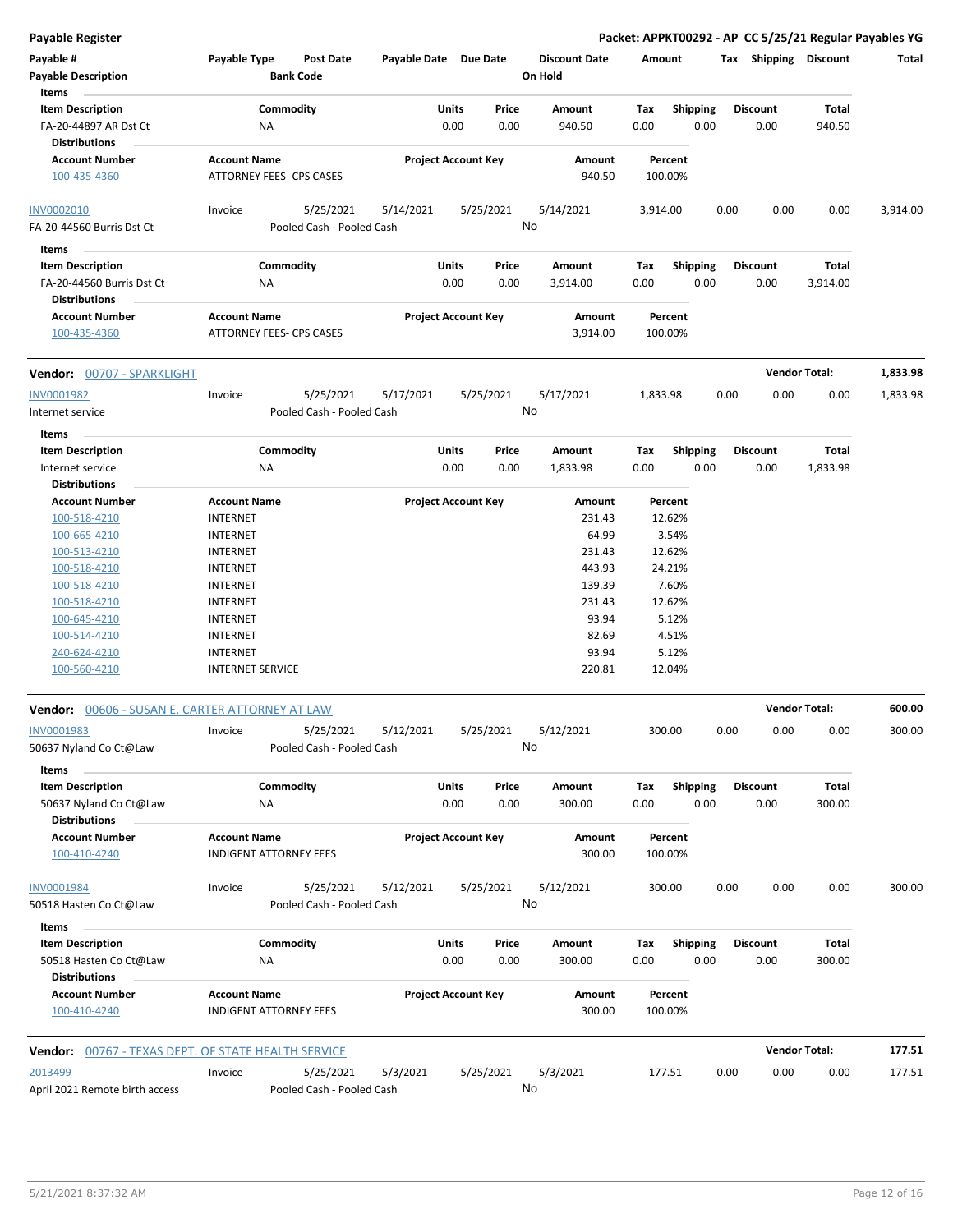| Payable #<br><b>Payable Description</b><br>Items                         | Payable Type                       | Post Date<br><b>Bank Code</b> | Payable Date Due Date |                                | <b>Discount Date</b><br>On Hold | Amount             |                         |      | Tax Shipping Discount   |                      | Total    |
|--------------------------------------------------------------------------|------------------------------------|-------------------------------|-----------------------|--------------------------------|---------------------------------|--------------------|-------------------------|------|-------------------------|----------------------|----------|
| <b>Item Description</b><br>FA-20-44897 AR Dst Ct<br><b>Distributions</b> | NA                                 | Commodity                     |                       | Units<br>Price<br>0.00<br>0.00 | Amount<br>940.50                | Tax<br>0.00        | <b>Shipping</b><br>0.00 |      | <b>Discount</b><br>0.00 | Total<br>940.50      |          |
| <b>Account Number</b><br>100-435-4360                                    | <b>Account Name</b>                | ATTORNEY FEES- CPS CASES      |                       | <b>Project Account Key</b>     | Amount<br>940.50                | Percent<br>100.00% |                         |      |                         |                      |          |
| <b>INV0002010</b>                                                        | Invoice                            | 5/25/2021                     | 5/14/2021             | 5/25/2021                      | 5/14/2021                       | 3,914.00           |                         | 0.00 | 0.00                    | 0.00                 | 3,914.00 |
| FA-20-44560 Burris Dst Ct                                                |                                    | Pooled Cash - Pooled Cash     |                       |                                | No                              |                    |                         |      |                         |                      |          |
| Items                                                                    |                                    |                               |                       |                                |                                 |                    |                         |      |                         |                      |          |
| <b>Item Description</b>                                                  |                                    | Commodity                     |                       | Units<br>Price                 | Amount                          | Тах                | <b>Shipping</b>         |      | <b>Discount</b>         | Total                |          |
| FA-20-44560 Burris Dst Ct<br><b>Distributions</b>                        | ΝA                                 |                               |                       | 0.00<br>0.00                   | 3,914.00                        | 0.00               | 0.00                    |      | 0.00                    | 3,914.00             |          |
| <b>Account Number</b>                                                    | <b>Account Name</b>                |                               |                       | <b>Project Account Key</b>     | Amount                          | Percent            |                         |      |                         |                      |          |
| 100-435-4360                                                             |                                    | ATTORNEY FEES- CPS CASES      |                       |                                | 3,914.00                        | 100.00%            |                         |      |                         |                      |          |
| Vendor: 00707 - SPARKLIGHT                                               |                                    |                               |                       |                                |                                 |                    |                         |      |                         | <b>Vendor Total:</b> | 1,833.98 |
| INV0001982                                                               | Invoice                            | 5/25/2021                     | 5/17/2021             | 5/25/2021                      | 5/17/2021                       | 1,833.98           |                         | 0.00 | 0.00                    | 0.00                 | 1,833.98 |
| Internet service                                                         |                                    | Pooled Cash - Pooled Cash     |                       |                                | No                              |                    |                         |      |                         |                      |          |
| Items                                                                    |                                    |                               |                       |                                |                                 |                    |                         |      |                         |                      |          |
| <b>Item Description</b>                                                  |                                    | Commodity                     |                       | Units<br>Price                 | Amount                          | Tax                | Shipping                |      | <b>Discount</b>         | Total                |          |
| Internet service                                                         | NA                                 |                               |                       | 0.00<br>0.00                   | 1,833.98                        | 0.00               | 0.00                    |      | 0.00                    | 1,833.98             |          |
| <b>Distributions</b>                                                     |                                    |                               |                       |                                |                                 |                    |                         |      |                         |                      |          |
| <b>Account Number</b>                                                    | <b>Account Name</b>                |                               |                       | <b>Project Account Key</b>     | Amount                          | Percent            |                         |      |                         |                      |          |
| 100-518-4210                                                             | <b>INTERNET</b>                    |                               |                       |                                | 231.43                          | 12.62%             |                         |      |                         |                      |          |
| 100-665-4210                                                             | <b>INTERNET</b>                    |                               |                       |                                | 64.99                           | 3.54%              |                         |      |                         |                      |          |
| 100-513-4210                                                             | <b>INTERNET</b>                    |                               |                       |                                | 231.43                          | 12.62%             |                         |      |                         |                      |          |
| 100-518-4210                                                             | <b>INTERNET</b>                    |                               |                       |                                | 443.93                          | 24.21%             |                         |      |                         |                      |          |
| 100-518-4210                                                             | <b>INTERNET</b>                    |                               |                       |                                | 139.39                          | 7.60%              |                         |      |                         |                      |          |
| 100-518-4210                                                             | <b>INTERNET</b>                    |                               |                       |                                | 231.43                          | 12.62%             |                         |      |                         |                      |          |
| 100-645-4210                                                             | <b>INTERNET</b>                    |                               |                       |                                | 93.94                           | 5.12%              |                         |      |                         |                      |          |
| 100-514-4210                                                             | <b>INTERNET</b><br><b>INTERNET</b> |                               |                       |                                | 82.69<br>93.94                  | 4.51%<br>5.12%     |                         |      |                         |                      |          |
| 240-624-4210<br>100-560-4210                                             | <b>INTERNET SERVICE</b>            |                               |                       |                                | 220.81                          | 12.04%             |                         |      |                         |                      |          |
| Vendor: 00606 - SUSAN E. CARTER ATTORNEY AT LAW                          |                                    |                               |                       |                                |                                 |                    |                         |      |                         | <b>Vendor Total:</b> | 600.00   |
|                                                                          |                                    |                               |                       |                                |                                 |                    |                         |      |                         |                      |          |
| INV0001983                                                               | Invoice                            | 5/25/2021                     | 5/12/2021             | 5/25/2021                      | 5/12/2021                       | 300.00             |                         | 0.00 | 0.00                    | 0.00                 | 300.00   |
| 50637 Nyland Co Ct@Law                                                   |                                    | Pooled Cash - Pooled Cash     |                       |                                | No                              |                    |                         |      |                         |                      |          |
| Items                                                                    |                                    |                               |                       |                                |                                 |                    |                         |      |                         |                      |          |
| <b>Item Description</b>                                                  |                                    | Commodity                     |                       | Units<br>Price                 | Amount                          | Tax                | Shipping                |      | <b>Discount</b>         | Total                |          |
| 50637 Nyland Co Ct@Law                                                   | <b>NA</b>                          |                               |                       | 0.00<br>0.00                   | 300.00                          | 0.00               | 0.00                    |      | 0.00                    | 300.00               |          |
| <b>Distributions</b><br><b>Account Number</b>                            | <b>Account Name</b>                |                               |                       | <b>Project Account Key</b>     | Amount                          | Percent            |                         |      |                         |                      |          |
| 100-410-4240                                                             |                                    | <b>INDIGENT ATTORNEY FEES</b> |                       |                                | 300.00                          | 100.00%            |                         |      |                         |                      |          |
| INV0001984                                                               | Invoice                            | 5/25/2021                     | 5/12/2021             | 5/25/2021                      | 5/12/2021                       | 300.00             |                         | 0.00 | 0.00                    | 0.00                 | 300.00   |
| 50518 Hasten Co Ct@Law                                                   |                                    | Pooled Cash - Pooled Cash     |                       |                                | No                              |                    |                         |      |                         |                      |          |
| Items                                                                    |                                    |                               |                       |                                |                                 |                    |                         |      |                         |                      |          |
| <b>Item Description</b>                                                  |                                    | Commodity                     |                       | Units<br>Price                 | Amount                          | Tax                | <b>Shipping</b>         |      | <b>Discount</b>         | Total                |          |
| 50518 Hasten Co Ct@Law<br><b>Distributions</b>                           | ΝA                                 |                               |                       | 0.00<br>0.00                   | 300.00                          | 0.00               | 0.00                    |      | 0.00                    | 300.00               |          |
| <b>Account Number</b>                                                    | <b>Account Name</b>                |                               |                       | <b>Project Account Key</b>     | Amount                          | Percent            |                         |      |                         |                      |          |
| 100-410-4240                                                             |                                    | <b>INDIGENT ATTORNEY FEES</b> |                       |                                | 300.00                          | 100.00%            |                         |      |                         |                      |          |
| <b>Vendor:</b> 00767 - TEXAS DEPT. OF STATE HEALTH SERVICE               |                                    |                               |                       |                                |                                 |                    |                         |      |                         | <b>Vendor Total:</b> | 177.51   |
| 2013499                                                                  | Invoice                            | 5/25/2021                     | 5/3/2021              | 5/25/2021                      | 5/3/2021                        | 177.51             |                         | 0.00 | 0.00                    | 0.00                 | 177.51   |
| April 2021 Remote birth access                                           |                                    | Pooled Cash - Pooled Cash     |                       |                                | No                              |                    |                         |      |                         |                      |          |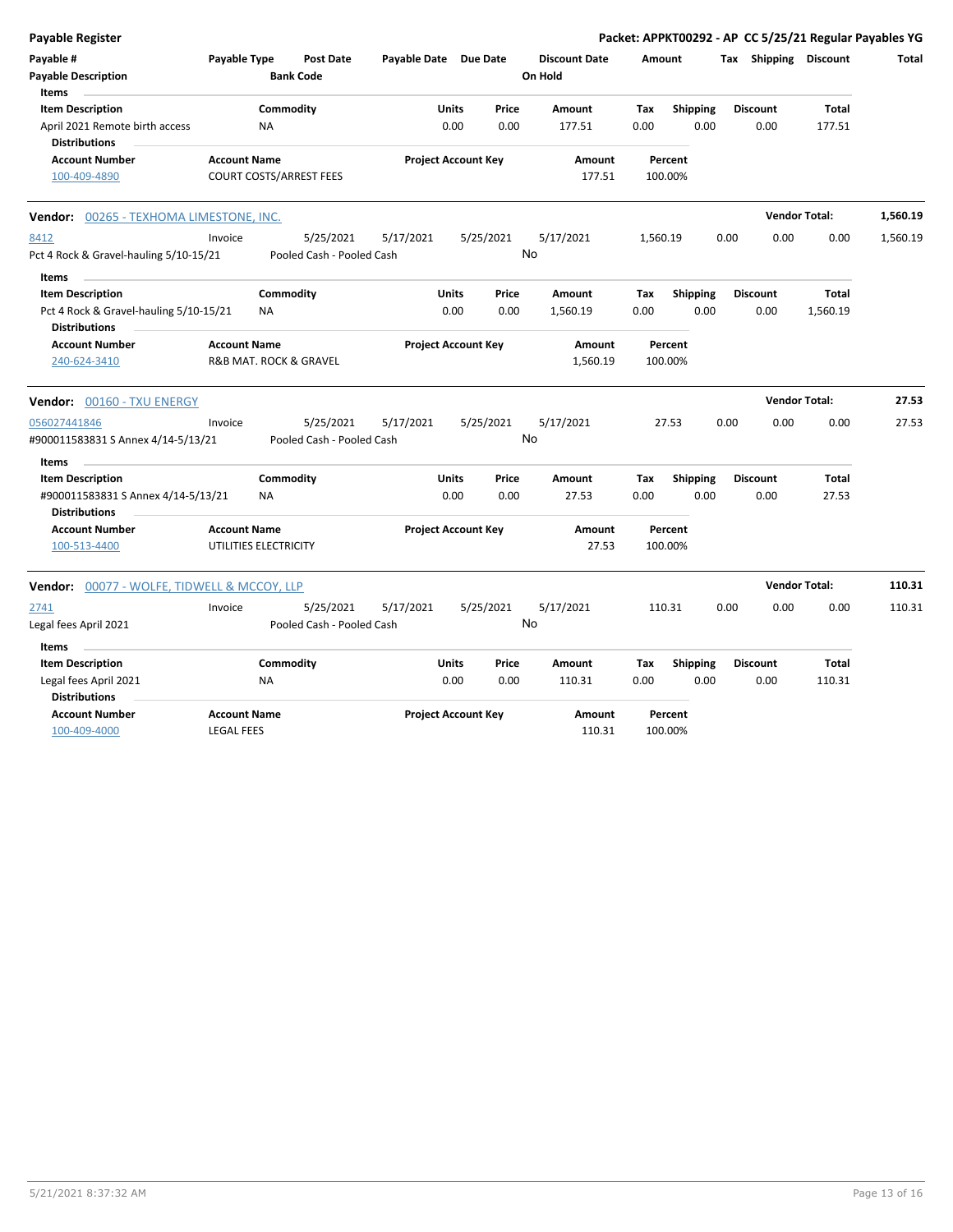| Payable Type<br>Payable Date Due Date<br><b>Discount Date</b><br>Tax Shipping Discount<br><b>Post Date</b><br>Amount<br>Total<br><b>Bank Code</b><br>On Hold<br><b>Items</b><br><b>Item Description</b><br>Commodity<br>Units<br><b>Shipping</b><br>Price<br>Amount<br>Tax<br><b>Discount</b><br>Total<br>0.00<br>0.00<br>0.00<br>0.00<br>177.51<br>April 2021 Remote birth access<br><b>NA</b><br>177.51<br>0.00<br><b>Distributions</b><br><b>Account Number</b><br><b>Project Account Key</b><br><b>Account Name</b><br>Amount<br>Percent<br>100-409-4890<br><b>COURT COSTS/ARREST FEES</b><br>177.51<br>100.00%<br><b>Vendor Total:</b><br>1,560.19<br><b>Vendor: 00265 - TEXHOMA LIMESTONE, INC.</b><br>5/25/2021<br>5/17/2021<br>5/25/2021<br>5/17/2021<br>1,560.19<br>0.00<br>0.00<br>0.00<br>1,560.19<br>Invoice<br>No<br>Pooled Cash - Pooled Cash<br>Pct 4 Rock & Gravel-hauling 5/10-15/21<br>Items<br>Commodity<br><b>Item Description</b><br><b>Units</b><br>Price<br><b>Amount</b><br><b>Shipping</b><br><b>Discount</b><br><b>Total</b><br>Tax<br>0.00<br>Pct 4 Rock & Gravel-hauling 5/10-15/21<br>0.00<br>1,560.19<br>0.00<br>0.00<br>0.00<br>1,560.19<br>ΝA<br><b>Distributions</b><br><b>Account Number</b><br><b>Account Name</b><br><b>Project Account Key</b><br>Amount<br>Percent<br>240-624-3410<br>R&B MAT. ROCK & GRAVEL<br>1,560.19<br>100.00%<br><b>Vendor Total:</b><br>27.53<br>Vendor: 00160 - TXU ENERGY<br>5/25/2021<br>5/17/2021<br>5/25/2021<br>5/17/2021<br>27.53<br>0.00<br>0.00<br>0.00<br>27.53<br>Invoice<br>No<br>#900011583831 S Annex 4/14-5/13/21<br>Pooled Cash - Pooled Cash<br><b>Items</b><br>Commodity<br><b>Item Description</b><br>Units<br>Price<br><b>Shipping</b><br><b>Discount</b><br>Total<br>Amount<br>Tax<br>0.00<br>0.00<br>27.53<br>0.00<br>0.00<br>0.00<br>27.53<br>#900011583831 S Annex 4/14-5/13/21<br><b>NA</b><br><b>Distributions</b><br><b>Account Number</b><br><b>Account Name</b><br><b>Project Account Key</b><br><b>Amount</b><br>Percent<br>100-513-4400<br>UTILITIES ELECTRICITY<br>27.53<br>100.00%<br><b>Vendor Total:</b><br>110.31<br><b>Vendor:</b> 00077 - WOLFE, TIDWELL & MCCOY, LLP<br>5/25/2021<br>5/17/2021<br>5/25/2021<br>5/17/2021<br>110.31<br>0.00<br>0.00<br>2741<br>Invoice<br>0.00<br>110.31<br>No<br>Pooled Cash - Pooled Cash<br>Legal fees April 2021<br>Items<br><b>Item Description</b><br>Commodity<br>Units<br>Price<br>Amount<br>Tax<br><b>Shipping</b><br><b>Discount</b><br>Total<br>0.00<br>0.00<br>110.31<br>0.00<br>0.00<br>0.00<br>110.31<br>Legal fees April 2021<br>ΝA<br><b>Distributions</b><br><b>Account Number</b><br><b>Account Name</b><br><b>Project Account Key</b><br>Amount<br>Percent<br>100-409-4000<br><b>LEGAL FEES</b><br>110.31<br>100.00% | <b>Payable Register</b>                 |  |  |  |  |  | Packet: APPKT00292 - AP CC 5/25/21 Regular Payables YG |  |
|----------------------------------------------------------------------------------------------------------------------------------------------------------------------------------------------------------------------------------------------------------------------------------------------------------------------------------------------------------------------------------------------------------------------------------------------------------------------------------------------------------------------------------------------------------------------------------------------------------------------------------------------------------------------------------------------------------------------------------------------------------------------------------------------------------------------------------------------------------------------------------------------------------------------------------------------------------------------------------------------------------------------------------------------------------------------------------------------------------------------------------------------------------------------------------------------------------------------------------------------------------------------------------------------------------------------------------------------------------------------------------------------------------------------------------------------------------------------------------------------------------------------------------------------------------------------------------------------------------------------------------------------------------------------------------------------------------------------------------------------------------------------------------------------------------------------------------------------------------------------------------------------------------------------------------------------------------------------------------------------------------------------------------------------------------------------------------------------------------------------------------------------------------------------------------------------------------------------------------------------------------------------------------------------------------------------------------------------------------------------------------------------------------------------------------------------------------------------------------------------------------------------------------------------------------------------------------------------------------------------------------------------------------------------------------------------------------------------------------------------------------------------------|-----------------------------------------|--|--|--|--|--|--------------------------------------------------------|--|
|                                                                                                                                                                                                                                                                                                                                                                                                                                                                                                                                                                                                                                                                                                                                                                                                                                                                                                                                                                                                                                                                                                                                                                                                                                                                                                                                                                                                                                                                                                                                                                                                                                                                                                                                                                                                                                                                                                                                                                                                                                                                                                                                                                                                                                                                                                                                                                                                                                                                                                                                                                                                                                                                                                                                                                            | Payable #<br><b>Payable Description</b> |  |  |  |  |  |                                                        |  |
|                                                                                                                                                                                                                                                                                                                                                                                                                                                                                                                                                                                                                                                                                                                                                                                                                                                                                                                                                                                                                                                                                                                                                                                                                                                                                                                                                                                                                                                                                                                                                                                                                                                                                                                                                                                                                                                                                                                                                                                                                                                                                                                                                                                                                                                                                                                                                                                                                                                                                                                                                                                                                                                                                                                                                                            |                                         |  |  |  |  |  |                                                        |  |
|                                                                                                                                                                                                                                                                                                                                                                                                                                                                                                                                                                                                                                                                                                                                                                                                                                                                                                                                                                                                                                                                                                                                                                                                                                                                                                                                                                                                                                                                                                                                                                                                                                                                                                                                                                                                                                                                                                                                                                                                                                                                                                                                                                                                                                                                                                                                                                                                                                                                                                                                                                                                                                                                                                                                                                            |                                         |  |  |  |  |  |                                                        |  |
|                                                                                                                                                                                                                                                                                                                                                                                                                                                                                                                                                                                                                                                                                                                                                                                                                                                                                                                                                                                                                                                                                                                                                                                                                                                                                                                                                                                                                                                                                                                                                                                                                                                                                                                                                                                                                                                                                                                                                                                                                                                                                                                                                                                                                                                                                                                                                                                                                                                                                                                                                                                                                                                                                                                                                                            |                                         |  |  |  |  |  |                                                        |  |
|                                                                                                                                                                                                                                                                                                                                                                                                                                                                                                                                                                                                                                                                                                                                                                                                                                                                                                                                                                                                                                                                                                                                                                                                                                                                                                                                                                                                                                                                                                                                                                                                                                                                                                                                                                                                                                                                                                                                                                                                                                                                                                                                                                                                                                                                                                                                                                                                                                                                                                                                                                                                                                                                                                                                                                            |                                         |  |  |  |  |  |                                                        |  |
|                                                                                                                                                                                                                                                                                                                                                                                                                                                                                                                                                                                                                                                                                                                                                                                                                                                                                                                                                                                                                                                                                                                                                                                                                                                                                                                                                                                                                                                                                                                                                                                                                                                                                                                                                                                                                                                                                                                                                                                                                                                                                                                                                                                                                                                                                                                                                                                                                                                                                                                                                                                                                                                                                                                                                                            | 8412                                    |  |  |  |  |  |                                                        |  |
|                                                                                                                                                                                                                                                                                                                                                                                                                                                                                                                                                                                                                                                                                                                                                                                                                                                                                                                                                                                                                                                                                                                                                                                                                                                                                                                                                                                                                                                                                                                                                                                                                                                                                                                                                                                                                                                                                                                                                                                                                                                                                                                                                                                                                                                                                                                                                                                                                                                                                                                                                                                                                                                                                                                                                                            |                                         |  |  |  |  |  |                                                        |  |
|                                                                                                                                                                                                                                                                                                                                                                                                                                                                                                                                                                                                                                                                                                                                                                                                                                                                                                                                                                                                                                                                                                                                                                                                                                                                                                                                                                                                                                                                                                                                                                                                                                                                                                                                                                                                                                                                                                                                                                                                                                                                                                                                                                                                                                                                                                                                                                                                                                                                                                                                                                                                                                                                                                                                                                            |                                         |  |  |  |  |  |                                                        |  |
|                                                                                                                                                                                                                                                                                                                                                                                                                                                                                                                                                                                                                                                                                                                                                                                                                                                                                                                                                                                                                                                                                                                                                                                                                                                                                                                                                                                                                                                                                                                                                                                                                                                                                                                                                                                                                                                                                                                                                                                                                                                                                                                                                                                                                                                                                                                                                                                                                                                                                                                                                                                                                                                                                                                                                                            |                                         |  |  |  |  |  |                                                        |  |
|                                                                                                                                                                                                                                                                                                                                                                                                                                                                                                                                                                                                                                                                                                                                                                                                                                                                                                                                                                                                                                                                                                                                                                                                                                                                                                                                                                                                                                                                                                                                                                                                                                                                                                                                                                                                                                                                                                                                                                                                                                                                                                                                                                                                                                                                                                                                                                                                                                                                                                                                                                                                                                                                                                                                                                            |                                         |  |  |  |  |  |                                                        |  |
|                                                                                                                                                                                                                                                                                                                                                                                                                                                                                                                                                                                                                                                                                                                                                                                                                                                                                                                                                                                                                                                                                                                                                                                                                                                                                                                                                                                                                                                                                                                                                                                                                                                                                                                                                                                                                                                                                                                                                                                                                                                                                                                                                                                                                                                                                                                                                                                                                                                                                                                                                                                                                                                                                                                                                                            |                                         |  |  |  |  |  |                                                        |  |
|                                                                                                                                                                                                                                                                                                                                                                                                                                                                                                                                                                                                                                                                                                                                                                                                                                                                                                                                                                                                                                                                                                                                                                                                                                                                                                                                                                                                                                                                                                                                                                                                                                                                                                                                                                                                                                                                                                                                                                                                                                                                                                                                                                                                                                                                                                                                                                                                                                                                                                                                                                                                                                                                                                                                                                            |                                         |  |  |  |  |  |                                                        |  |
|                                                                                                                                                                                                                                                                                                                                                                                                                                                                                                                                                                                                                                                                                                                                                                                                                                                                                                                                                                                                                                                                                                                                                                                                                                                                                                                                                                                                                                                                                                                                                                                                                                                                                                                                                                                                                                                                                                                                                                                                                                                                                                                                                                                                                                                                                                                                                                                                                                                                                                                                                                                                                                                                                                                                                                            |                                         |  |  |  |  |  |                                                        |  |
|                                                                                                                                                                                                                                                                                                                                                                                                                                                                                                                                                                                                                                                                                                                                                                                                                                                                                                                                                                                                                                                                                                                                                                                                                                                                                                                                                                                                                                                                                                                                                                                                                                                                                                                                                                                                                                                                                                                                                                                                                                                                                                                                                                                                                                                                                                                                                                                                                                                                                                                                                                                                                                                                                                                                                                            |                                         |  |  |  |  |  |                                                        |  |
|                                                                                                                                                                                                                                                                                                                                                                                                                                                                                                                                                                                                                                                                                                                                                                                                                                                                                                                                                                                                                                                                                                                                                                                                                                                                                                                                                                                                                                                                                                                                                                                                                                                                                                                                                                                                                                                                                                                                                                                                                                                                                                                                                                                                                                                                                                                                                                                                                                                                                                                                                                                                                                                                                                                                                                            | 056027441846                            |  |  |  |  |  |                                                        |  |
|                                                                                                                                                                                                                                                                                                                                                                                                                                                                                                                                                                                                                                                                                                                                                                                                                                                                                                                                                                                                                                                                                                                                                                                                                                                                                                                                                                                                                                                                                                                                                                                                                                                                                                                                                                                                                                                                                                                                                                                                                                                                                                                                                                                                                                                                                                                                                                                                                                                                                                                                                                                                                                                                                                                                                                            |                                         |  |  |  |  |  |                                                        |  |
|                                                                                                                                                                                                                                                                                                                                                                                                                                                                                                                                                                                                                                                                                                                                                                                                                                                                                                                                                                                                                                                                                                                                                                                                                                                                                                                                                                                                                                                                                                                                                                                                                                                                                                                                                                                                                                                                                                                                                                                                                                                                                                                                                                                                                                                                                                                                                                                                                                                                                                                                                                                                                                                                                                                                                                            |                                         |  |  |  |  |  |                                                        |  |
|                                                                                                                                                                                                                                                                                                                                                                                                                                                                                                                                                                                                                                                                                                                                                                                                                                                                                                                                                                                                                                                                                                                                                                                                                                                                                                                                                                                                                                                                                                                                                                                                                                                                                                                                                                                                                                                                                                                                                                                                                                                                                                                                                                                                                                                                                                                                                                                                                                                                                                                                                                                                                                                                                                                                                                            |                                         |  |  |  |  |  |                                                        |  |
|                                                                                                                                                                                                                                                                                                                                                                                                                                                                                                                                                                                                                                                                                                                                                                                                                                                                                                                                                                                                                                                                                                                                                                                                                                                                                                                                                                                                                                                                                                                                                                                                                                                                                                                                                                                                                                                                                                                                                                                                                                                                                                                                                                                                                                                                                                                                                                                                                                                                                                                                                                                                                                                                                                                                                                            |                                         |  |  |  |  |  |                                                        |  |
|                                                                                                                                                                                                                                                                                                                                                                                                                                                                                                                                                                                                                                                                                                                                                                                                                                                                                                                                                                                                                                                                                                                                                                                                                                                                                                                                                                                                                                                                                                                                                                                                                                                                                                                                                                                                                                                                                                                                                                                                                                                                                                                                                                                                                                                                                                                                                                                                                                                                                                                                                                                                                                                                                                                                                                            |                                         |  |  |  |  |  |                                                        |  |
|                                                                                                                                                                                                                                                                                                                                                                                                                                                                                                                                                                                                                                                                                                                                                                                                                                                                                                                                                                                                                                                                                                                                                                                                                                                                                                                                                                                                                                                                                                                                                                                                                                                                                                                                                                                                                                                                                                                                                                                                                                                                                                                                                                                                                                                                                                                                                                                                                                                                                                                                                                                                                                                                                                                                                                            |                                         |  |  |  |  |  |                                                        |  |
|                                                                                                                                                                                                                                                                                                                                                                                                                                                                                                                                                                                                                                                                                                                                                                                                                                                                                                                                                                                                                                                                                                                                                                                                                                                                                                                                                                                                                                                                                                                                                                                                                                                                                                                                                                                                                                                                                                                                                                                                                                                                                                                                                                                                                                                                                                                                                                                                                                                                                                                                                                                                                                                                                                                                                                            |                                         |  |  |  |  |  |                                                        |  |
|                                                                                                                                                                                                                                                                                                                                                                                                                                                                                                                                                                                                                                                                                                                                                                                                                                                                                                                                                                                                                                                                                                                                                                                                                                                                                                                                                                                                                                                                                                                                                                                                                                                                                                                                                                                                                                                                                                                                                                                                                                                                                                                                                                                                                                                                                                                                                                                                                                                                                                                                                                                                                                                                                                                                                                            |                                         |  |  |  |  |  |                                                        |  |
|                                                                                                                                                                                                                                                                                                                                                                                                                                                                                                                                                                                                                                                                                                                                                                                                                                                                                                                                                                                                                                                                                                                                                                                                                                                                                                                                                                                                                                                                                                                                                                                                                                                                                                                                                                                                                                                                                                                                                                                                                                                                                                                                                                                                                                                                                                                                                                                                                                                                                                                                                                                                                                                                                                                                                                            |                                         |  |  |  |  |  |                                                        |  |
|                                                                                                                                                                                                                                                                                                                                                                                                                                                                                                                                                                                                                                                                                                                                                                                                                                                                                                                                                                                                                                                                                                                                                                                                                                                                                                                                                                                                                                                                                                                                                                                                                                                                                                                                                                                                                                                                                                                                                                                                                                                                                                                                                                                                                                                                                                                                                                                                                                                                                                                                                                                                                                                                                                                                                                            |                                         |  |  |  |  |  |                                                        |  |
|                                                                                                                                                                                                                                                                                                                                                                                                                                                                                                                                                                                                                                                                                                                                                                                                                                                                                                                                                                                                                                                                                                                                                                                                                                                                                                                                                                                                                                                                                                                                                                                                                                                                                                                                                                                                                                                                                                                                                                                                                                                                                                                                                                                                                                                                                                                                                                                                                                                                                                                                                                                                                                                                                                                                                                            |                                         |  |  |  |  |  |                                                        |  |
|                                                                                                                                                                                                                                                                                                                                                                                                                                                                                                                                                                                                                                                                                                                                                                                                                                                                                                                                                                                                                                                                                                                                                                                                                                                                                                                                                                                                                                                                                                                                                                                                                                                                                                                                                                                                                                                                                                                                                                                                                                                                                                                                                                                                                                                                                                                                                                                                                                                                                                                                                                                                                                                                                                                                                                            |                                         |  |  |  |  |  |                                                        |  |
|                                                                                                                                                                                                                                                                                                                                                                                                                                                                                                                                                                                                                                                                                                                                                                                                                                                                                                                                                                                                                                                                                                                                                                                                                                                                                                                                                                                                                                                                                                                                                                                                                                                                                                                                                                                                                                                                                                                                                                                                                                                                                                                                                                                                                                                                                                                                                                                                                                                                                                                                                                                                                                                                                                                                                                            |                                         |  |  |  |  |  |                                                        |  |
|                                                                                                                                                                                                                                                                                                                                                                                                                                                                                                                                                                                                                                                                                                                                                                                                                                                                                                                                                                                                                                                                                                                                                                                                                                                                                                                                                                                                                                                                                                                                                                                                                                                                                                                                                                                                                                                                                                                                                                                                                                                                                                                                                                                                                                                                                                                                                                                                                                                                                                                                                                                                                                                                                                                                                                            |                                         |  |  |  |  |  |                                                        |  |
|                                                                                                                                                                                                                                                                                                                                                                                                                                                                                                                                                                                                                                                                                                                                                                                                                                                                                                                                                                                                                                                                                                                                                                                                                                                                                                                                                                                                                                                                                                                                                                                                                                                                                                                                                                                                                                                                                                                                                                                                                                                                                                                                                                                                                                                                                                                                                                                                                                                                                                                                                                                                                                                                                                                                                                            |                                         |  |  |  |  |  |                                                        |  |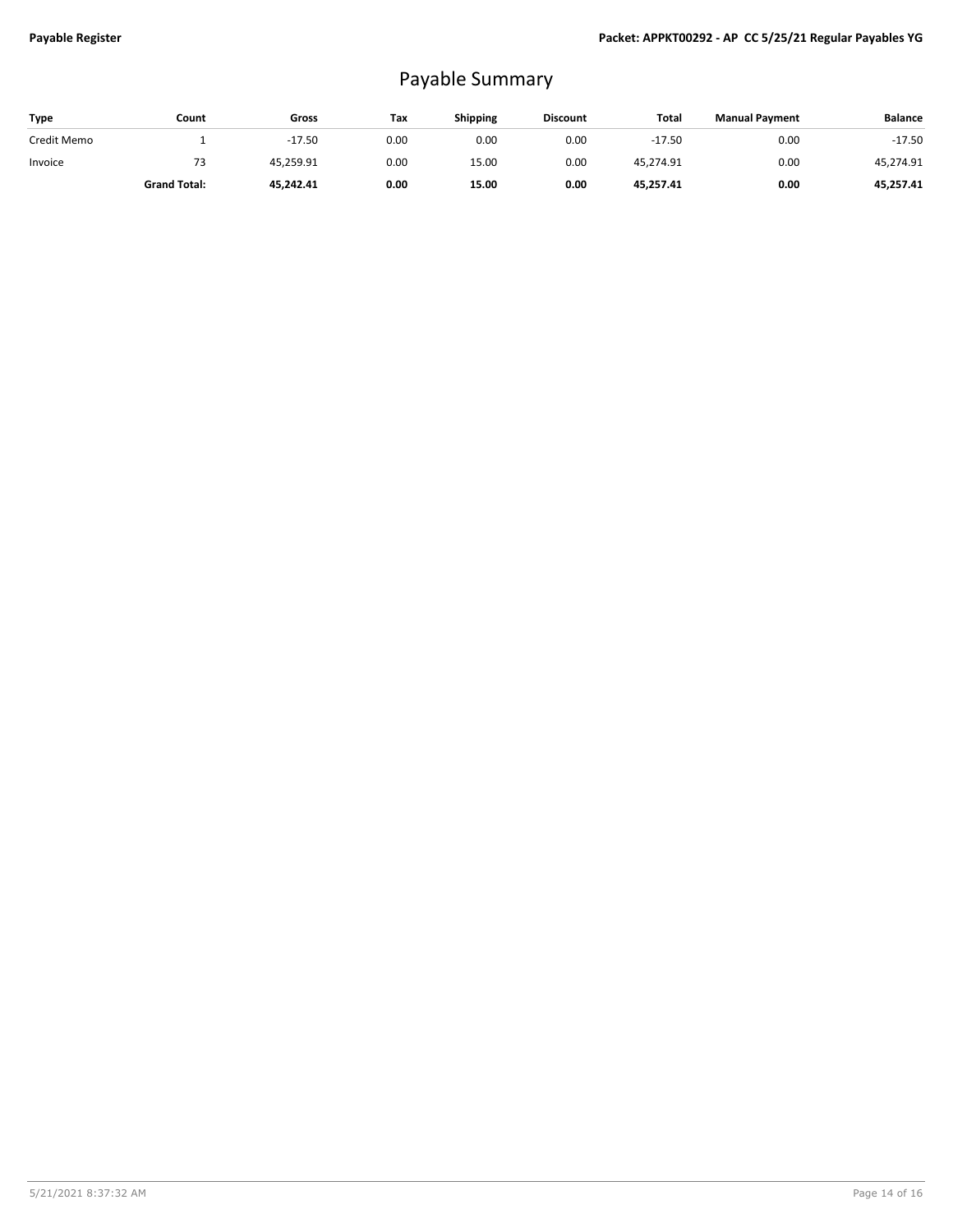## Payable Summary

| Type        | Count               | Gross     | Tax  | <b>Shipping</b> | <b>Discount</b> | Total     | <b>Manual Payment</b> | <b>Balance</b> |
|-------------|---------------------|-----------|------|-----------------|-----------------|-----------|-----------------------|----------------|
| Credit Memo |                     | $-17.50$  | 0.00 | 0.00            | 0.00            | $-17.50$  | 0.00                  | $-17.50$       |
| Invoice     | 73                  | 45.259.91 | 0.00 | 15.00           | 0.00            | 45,274.91 | 0.00                  | 45.274.91      |
|             | <b>Grand Total:</b> | 45.242.41 | 0.00 | 15.00           | 0.00            | 45,257.41 | 0.00                  | 45,257.41      |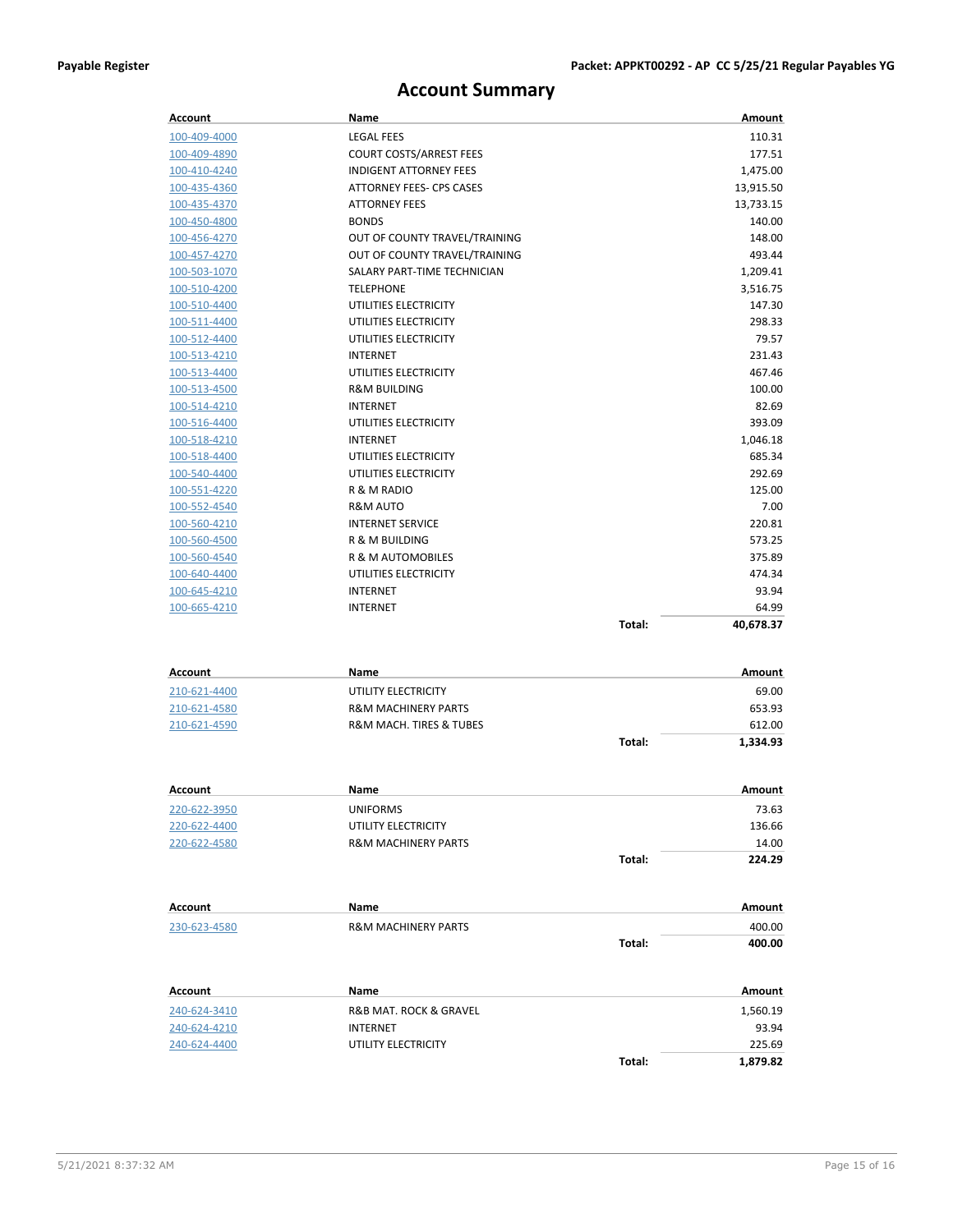## **Account Summary**

| 110.31<br>100-409-4000<br><b>LEGAL FEES</b><br><b>COURT COSTS/ARREST FEES</b><br>177.51<br>100-409-4890<br><b>INDIGENT ATTORNEY FEES</b><br>1,475.00<br>100-410-4240<br><b>ATTORNEY FEES- CPS CASES</b><br>100-435-4360<br>13,915.50<br><b>ATTORNEY FEES</b><br>13,733.15<br>100-435-4370<br>100-450-4800<br><b>BONDS</b><br>140.00<br>OUT OF COUNTY TRAVEL/TRAINING<br>148.00<br>100-456-4270<br>OUT OF COUNTY TRAVEL/TRAINING<br>493.44<br>100-457-4270<br>SALARY PART-TIME TECHNICIAN<br>100-503-1070<br>1,209.41<br><b>TELEPHONE</b><br>3,516.75<br>100-510-4200<br>100-510-4400<br>UTILITIES ELECTRICITY<br>147.30<br>UTILITIES ELECTRICITY<br>298.33<br>100-511-4400<br>UTILITIES ELECTRICITY<br>79.57<br>100-512-4400<br>231.43<br>100-513-4210<br><b>INTERNET</b><br>467.46<br>UTILITIES ELECTRICITY<br>100-513-4400<br>100-513-4500<br><b>R&amp;M BUILDING</b><br>100.00<br>82.69<br>100-514-4210<br><b>INTERNET</b><br>UTILITIES ELECTRICITY<br>393.09<br>100-516-4400<br>100-518-4210<br><b>INTERNET</b><br>1,046.18<br>UTILITIES ELECTRICITY<br>685.34<br>100-518-4400<br>UTILITIES ELECTRICITY<br>100-540-4400<br>292.69<br>R & M RADIO<br>125.00<br>100-551-4220<br><b>R&amp;M AUTO</b><br>7.00<br>100-552-4540<br><b>INTERNET SERVICE</b><br>220.81<br>100-560-4210<br>573.25<br>R & M BUILDING<br>100-560-4500<br>100-560-4540<br>R & M AUTOMOBILES<br>375.89<br>UTILITIES ELECTRICITY<br>474.34<br>100-640-4400<br>93.94<br>100-645-4210<br><b>INTERNET</b><br>100-665-4210<br><b>INTERNET</b><br>64.99<br>Total:<br>40,678.37<br>Amount<br><b>Account</b><br>Name<br>69.00<br>210-621-4400<br>UTILITY ELECTRICITY<br>653.93<br><b>R&amp;M MACHINERY PARTS</b><br>210-621-4580<br>R&M MACH. TIRES & TUBES<br>210-621-4590<br>612.00<br>Total:<br>1,334.93<br>Account<br>Name<br>Amount<br><b>UNIFORMS</b><br>73.63<br>220-622-3950<br>220-622-4400<br>UTILITY ELECTRICITY<br>136.66<br>14.00<br>220-622-4580<br><b>R&amp;M MACHINERY PARTS</b><br>Total:<br>224.29<br>Amount<br>Account<br>Name<br>230-623-4580<br>400.00<br><b>R&amp;M MACHINERY PARTS</b><br>Total:<br>400.00<br>Amount<br>Account<br>Name<br>240-624-3410<br>R&B MAT. ROCK & GRAVEL<br>1,560.19<br>240-624-4210<br>93.94<br><b>INTERNET</b><br>225.69<br>240-624-4400<br>UTILITY ELECTRICITY<br>Total:<br>1,879.82 | <b>Account</b> | Name | Amount |
|--------------------------------------------------------------------------------------------------------------------------------------------------------------------------------------------------------------------------------------------------------------------------------------------------------------------------------------------------------------------------------------------------------------------------------------------------------------------------------------------------------------------------------------------------------------------------------------------------------------------------------------------------------------------------------------------------------------------------------------------------------------------------------------------------------------------------------------------------------------------------------------------------------------------------------------------------------------------------------------------------------------------------------------------------------------------------------------------------------------------------------------------------------------------------------------------------------------------------------------------------------------------------------------------------------------------------------------------------------------------------------------------------------------------------------------------------------------------------------------------------------------------------------------------------------------------------------------------------------------------------------------------------------------------------------------------------------------------------------------------------------------------------------------------------------------------------------------------------------------------------------------------------------------------------------------------------------------------------------------------------------------------------------------------------------------------------------------------------------------------------------------------------------------------------------------------------------------------------------------------------------------------------------------------------------|----------------|------|--------|
|                                                                                                                                                                                                                                                                                                                                                                                                                                                                                                                                                                                                                                                                                                                                                                                                                                                                                                                                                                                                                                                                                                                                                                                                                                                                                                                                                                                                                                                                                                                                                                                                                                                                                                                                                                                                                                                                                                                                                                                                                                                                                                                                                                                                                                                                                                        |                |      |        |
|                                                                                                                                                                                                                                                                                                                                                                                                                                                                                                                                                                                                                                                                                                                                                                                                                                                                                                                                                                                                                                                                                                                                                                                                                                                                                                                                                                                                                                                                                                                                                                                                                                                                                                                                                                                                                                                                                                                                                                                                                                                                                                                                                                                                                                                                                                        |                |      |        |
|                                                                                                                                                                                                                                                                                                                                                                                                                                                                                                                                                                                                                                                                                                                                                                                                                                                                                                                                                                                                                                                                                                                                                                                                                                                                                                                                                                                                                                                                                                                                                                                                                                                                                                                                                                                                                                                                                                                                                                                                                                                                                                                                                                                                                                                                                                        |                |      |        |
|                                                                                                                                                                                                                                                                                                                                                                                                                                                                                                                                                                                                                                                                                                                                                                                                                                                                                                                                                                                                                                                                                                                                                                                                                                                                                                                                                                                                                                                                                                                                                                                                                                                                                                                                                                                                                                                                                                                                                                                                                                                                                                                                                                                                                                                                                                        |                |      |        |
|                                                                                                                                                                                                                                                                                                                                                                                                                                                                                                                                                                                                                                                                                                                                                                                                                                                                                                                                                                                                                                                                                                                                                                                                                                                                                                                                                                                                                                                                                                                                                                                                                                                                                                                                                                                                                                                                                                                                                                                                                                                                                                                                                                                                                                                                                                        |                |      |        |
|                                                                                                                                                                                                                                                                                                                                                                                                                                                                                                                                                                                                                                                                                                                                                                                                                                                                                                                                                                                                                                                                                                                                                                                                                                                                                                                                                                                                                                                                                                                                                                                                                                                                                                                                                                                                                                                                                                                                                                                                                                                                                                                                                                                                                                                                                                        |                |      |        |
|                                                                                                                                                                                                                                                                                                                                                                                                                                                                                                                                                                                                                                                                                                                                                                                                                                                                                                                                                                                                                                                                                                                                                                                                                                                                                                                                                                                                                                                                                                                                                                                                                                                                                                                                                                                                                                                                                                                                                                                                                                                                                                                                                                                                                                                                                                        |                |      |        |
|                                                                                                                                                                                                                                                                                                                                                                                                                                                                                                                                                                                                                                                                                                                                                                                                                                                                                                                                                                                                                                                                                                                                                                                                                                                                                                                                                                                                                                                                                                                                                                                                                                                                                                                                                                                                                                                                                                                                                                                                                                                                                                                                                                                                                                                                                                        |                |      |        |
|                                                                                                                                                                                                                                                                                                                                                                                                                                                                                                                                                                                                                                                                                                                                                                                                                                                                                                                                                                                                                                                                                                                                                                                                                                                                                                                                                                                                                                                                                                                                                                                                                                                                                                                                                                                                                                                                                                                                                                                                                                                                                                                                                                                                                                                                                                        |                |      |        |
|                                                                                                                                                                                                                                                                                                                                                                                                                                                                                                                                                                                                                                                                                                                                                                                                                                                                                                                                                                                                                                                                                                                                                                                                                                                                                                                                                                                                                                                                                                                                                                                                                                                                                                                                                                                                                                                                                                                                                                                                                                                                                                                                                                                                                                                                                                        |                |      |        |
|                                                                                                                                                                                                                                                                                                                                                                                                                                                                                                                                                                                                                                                                                                                                                                                                                                                                                                                                                                                                                                                                                                                                                                                                                                                                                                                                                                                                                                                                                                                                                                                                                                                                                                                                                                                                                                                                                                                                                                                                                                                                                                                                                                                                                                                                                                        |                |      |        |
|                                                                                                                                                                                                                                                                                                                                                                                                                                                                                                                                                                                                                                                                                                                                                                                                                                                                                                                                                                                                                                                                                                                                                                                                                                                                                                                                                                                                                                                                                                                                                                                                                                                                                                                                                                                                                                                                                                                                                                                                                                                                                                                                                                                                                                                                                                        |                |      |        |
|                                                                                                                                                                                                                                                                                                                                                                                                                                                                                                                                                                                                                                                                                                                                                                                                                                                                                                                                                                                                                                                                                                                                                                                                                                                                                                                                                                                                                                                                                                                                                                                                                                                                                                                                                                                                                                                                                                                                                                                                                                                                                                                                                                                                                                                                                                        |                |      |        |
|                                                                                                                                                                                                                                                                                                                                                                                                                                                                                                                                                                                                                                                                                                                                                                                                                                                                                                                                                                                                                                                                                                                                                                                                                                                                                                                                                                                                                                                                                                                                                                                                                                                                                                                                                                                                                                                                                                                                                                                                                                                                                                                                                                                                                                                                                                        |                |      |        |
|                                                                                                                                                                                                                                                                                                                                                                                                                                                                                                                                                                                                                                                                                                                                                                                                                                                                                                                                                                                                                                                                                                                                                                                                                                                                                                                                                                                                                                                                                                                                                                                                                                                                                                                                                                                                                                                                                                                                                                                                                                                                                                                                                                                                                                                                                                        |                |      |        |
|                                                                                                                                                                                                                                                                                                                                                                                                                                                                                                                                                                                                                                                                                                                                                                                                                                                                                                                                                                                                                                                                                                                                                                                                                                                                                                                                                                                                                                                                                                                                                                                                                                                                                                                                                                                                                                                                                                                                                                                                                                                                                                                                                                                                                                                                                                        |                |      |        |
|                                                                                                                                                                                                                                                                                                                                                                                                                                                                                                                                                                                                                                                                                                                                                                                                                                                                                                                                                                                                                                                                                                                                                                                                                                                                                                                                                                                                                                                                                                                                                                                                                                                                                                                                                                                                                                                                                                                                                                                                                                                                                                                                                                                                                                                                                                        |                |      |        |
|                                                                                                                                                                                                                                                                                                                                                                                                                                                                                                                                                                                                                                                                                                                                                                                                                                                                                                                                                                                                                                                                                                                                                                                                                                                                                                                                                                                                                                                                                                                                                                                                                                                                                                                                                                                                                                                                                                                                                                                                                                                                                                                                                                                                                                                                                                        |                |      |        |
|                                                                                                                                                                                                                                                                                                                                                                                                                                                                                                                                                                                                                                                                                                                                                                                                                                                                                                                                                                                                                                                                                                                                                                                                                                                                                                                                                                                                                                                                                                                                                                                                                                                                                                                                                                                                                                                                                                                                                                                                                                                                                                                                                                                                                                                                                                        |                |      |        |
|                                                                                                                                                                                                                                                                                                                                                                                                                                                                                                                                                                                                                                                                                                                                                                                                                                                                                                                                                                                                                                                                                                                                                                                                                                                                                                                                                                                                                                                                                                                                                                                                                                                                                                                                                                                                                                                                                                                                                                                                                                                                                                                                                                                                                                                                                                        |                |      |        |
|                                                                                                                                                                                                                                                                                                                                                                                                                                                                                                                                                                                                                                                                                                                                                                                                                                                                                                                                                                                                                                                                                                                                                                                                                                                                                                                                                                                                                                                                                                                                                                                                                                                                                                                                                                                                                                                                                                                                                                                                                                                                                                                                                                                                                                                                                                        |                |      |        |
|                                                                                                                                                                                                                                                                                                                                                                                                                                                                                                                                                                                                                                                                                                                                                                                                                                                                                                                                                                                                                                                                                                                                                                                                                                                                                                                                                                                                                                                                                                                                                                                                                                                                                                                                                                                                                                                                                                                                                                                                                                                                                                                                                                                                                                                                                                        |                |      |        |
|                                                                                                                                                                                                                                                                                                                                                                                                                                                                                                                                                                                                                                                                                                                                                                                                                                                                                                                                                                                                                                                                                                                                                                                                                                                                                                                                                                                                                                                                                                                                                                                                                                                                                                                                                                                                                                                                                                                                                                                                                                                                                                                                                                                                                                                                                                        |                |      |        |
|                                                                                                                                                                                                                                                                                                                                                                                                                                                                                                                                                                                                                                                                                                                                                                                                                                                                                                                                                                                                                                                                                                                                                                                                                                                                                                                                                                                                                                                                                                                                                                                                                                                                                                                                                                                                                                                                                                                                                                                                                                                                                                                                                                                                                                                                                                        |                |      |        |
|                                                                                                                                                                                                                                                                                                                                                                                                                                                                                                                                                                                                                                                                                                                                                                                                                                                                                                                                                                                                                                                                                                                                                                                                                                                                                                                                                                                                                                                                                                                                                                                                                                                                                                                                                                                                                                                                                                                                                                                                                                                                                                                                                                                                                                                                                                        |                |      |        |
|                                                                                                                                                                                                                                                                                                                                                                                                                                                                                                                                                                                                                                                                                                                                                                                                                                                                                                                                                                                                                                                                                                                                                                                                                                                                                                                                                                                                                                                                                                                                                                                                                                                                                                                                                                                                                                                                                                                                                                                                                                                                                                                                                                                                                                                                                                        |                |      |        |
|                                                                                                                                                                                                                                                                                                                                                                                                                                                                                                                                                                                                                                                                                                                                                                                                                                                                                                                                                                                                                                                                                                                                                                                                                                                                                                                                                                                                                                                                                                                                                                                                                                                                                                                                                                                                                                                                                                                                                                                                                                                                                                                                                                                                                                                                                                        |                |      |        |
|                                                                                                                                                                                                                                                                                                                                                                                                                                                                                                                                                                                                                                                                                                                                                                                                                                                                                                                                                                                                                                                                                                                                                                                                                                                                                                                                                                                                                                                                                                                                                                                                                                                                                                                                                                                                                                                                                                                                                                                                                                                                                                                                                                                                                                                                                                        |                |      |        |
|                                                                                                                                                                                                                                                                                                                                                                                                                                                                                                                                                                                                                                                                                                                                                                                                                                                                                                                                                                                                                                                                                                                                                                                                                                                                                                                                                                                                                                                                                                                                                                                                                                                                                                                                                                                                                                                                                                                                                                                                                                                                                                                                                                                                                                                                                                        |                |      |        |
|                                                                                                                                                                                                                                                                                                                                                                                                                                                                                                                                                                                                                                                                                                                                                                                                                                                                                                                                                                                                                                                                                                                                                                                                                                                                                                                                                                                                                                                                                                                                                                                                                                                                                                                                                                                                                                                                                                                                                                                                                                                                                                                                                                                                                                                                                                        |                |      |        |
|                                                                                                                                                                                                                                                                                                                                                                                                                                                                                                                                                                                                                                                                                                                                                                                                                                                                                                                                                                                                                                                                                                                                                                                                                                                                                                                                                                                                                                                                                                                                                                                                                                                                                                                                                                                                                                                                                                                                                                                                                                                                                                                                                                                                                                                                                                        |                |      |        |
|                                                                                                                                                                                                                                                                                                                                                                                                                                                                                                                                                                                                                                                                                                                                                                                                                                                                                                                                                                                                                                                                                                                                                                                                                                                                                                                                                                                                                                                                                                                                                                                                                                                                                                                                                                                                                                                                                                                                                                                                                                                                                                                                                                                                                                                                                                        |                |      |        |
|                                                                                                                                                                                                                                                                                                                                                                                                                                                                                                                                                                                                                                                                                                                                                                                                                                                                                                                                                                                                                                                                                                                                                                                                                                                                                                                                                                                                                                                                                                                                                                                                                                                                                                                                                                                                                                                                                                                                                                                                                                                                                                                                                                                                                                                                                                        |                |      |        |
|                                                                                                                                                                                                                                                                                                                                                                                                                                                                                                                                                                                                                                                                                                                                                                                                                                                                                                                                                                                                                                                                                                                                                                                                                                                                                                                                                                                                                                                                                                                                                                                                                                                                                                                                                                                                                                                                                                                                                                                                                                                                                                                                                                                                                                                                                                        |                |      |        |
|                                                                                                                                                                                                                                                                                                                                                                                                                                                                                                                                                                                                                                                                                                                                                                                                                                                                                                                                                                                                                                                                                                                                                                                                                                                                                                                                                                                                                                                                                                                                                                                                                                                                                                                                                                                                                                                                                                                                                                                                                                                                                                                                                                                                                                                                                                        |                |      |        |
|                                                                                                                                                                                                                                                                                                                                                                                                                                                                                                                                                                                                                                                                                                                                                                                                                                                                                                                                                                                                                                                                                                                                                                                                                                                                                                                                                                                                                                                                                                                                                                                                                                                                                                                                                                                                                                                                                                                                                                                                                                                                                                                                                                                                                                                                                                        |                |      |        |
|                                                                                                                                                                                                                                                                                                                                                                                                                                                                                                                                                                                                                                                                                                                                                                                                                                                                                                                                                                                                                                                                                                                                                                                                                                                                                                                                                                                                                                                                                                                                                                                                                                                                                                                                                                                                                                                                                                                                                                                                                                                                                                                                                                                                                                                                                                        |                |      |        |
|                                                                                                                                                                                                                                                                                                                                                                                                                                                                                                                                                                                                                                                                                                                                                                                                                                                                                                                                                                                                                                                                                                                                                                                                                                                                                                                                                                                                                                                                                                                                                                                                                                                                                                                                                                                                                                                                                                                                                                                                                                                                                                                                                                                                                                                                                                        |                |      |        |
|                                                                                                                                                                                                                                                                                                                                                                                                                                                                                                                                                                                                                                                                                                                                                                                                                                                                                                                                                                                                                                                                                                                                                                                                                                                                                                                                                                                                                                                                                                                                                                                                                                                                                                                                                                                                                                                                                                                                                                                                                                                                                                                                                                                                                                                                                                        |                |      |        |
|                                                                                                                                                                                                                                                                                                                                                                                                                                                                                                                                                                                                                                                                                                                                                                                                                                                                                                                                                                                                                                                                                                                                                                                                                                                                                                                                                                                                                                                                                                                                                                                                                                                                                                                                                                                                                                                                                                                                                                                                                                                                                                                                                                                                                                                                                                        |                |      |        |
|                                                                                                                                                                                                                                                                                                                                                                                                                                                                                                                                                                                                                                                                                                                                                                                                                                                                                                                                                                                                                                                                                                                                                                                                                                                                                                                                                                                                                                                                                                                                                                                                                                                                                                                                                                                                                                                                                                                                                                                                                                                                                                                                                                                                                                                                                                        |                |      |        |
|                                                                                                                                                                                                                                                                                                                                                                                                                                                                                                                                                                                                                                                                                                                                                                                                                                                                                                                                                                                                                                                                                                                                                                                                                                                                                                                                                                                                                                                                                                                                                                                                                                                                                                                                                                                                                                                                                                                                                                                                                                                                                                                                                                                                                                                                                                        |                |      |        |
|                                                                                                                                                                                                                                                                                                                                                                                                                                                                                                                                                                                                                                                                                                                                                                                                                                                                                                                                                                                                                                                                                                                                                                                                                                                                                                                                                                                                                                                                                                                                                                                                                                                                                                                                                                                                                                                                                                                                                                                                                                                                                                                                                                                                                                                                                                        |                |      |        |
|                                                                                                                                                                                                                                                                                                                                                                                                                                                                                                                                                                                                                                                                                                                                                                                                                                                                                                                                                                                                                                                                                                                                                                                                                                                                                                                                                                                                                                                                                                                                                                                                                                                                                                                                                                                                                                                                                                                                                                                                                                                                                                                                                                                                                                                                                                        |                |      |        |
|                                                                                                                                                                                                                                                                                                                                                                                                                                                                                                                                                                                                                                                                                                                                                                                                                                                                                                                                                                                                                                                                                                                                                                                                                                                                                                                                                                                                                                                                                                                                                                                                                                                                                                                                                                                                                                                                                                                                                                                                                                                                                                                                                                                                                                                                                                        |                |      |        |
|                                                                                                                                                                                                                                                                                                                                                                                                                                                                                                                                                                                                                                                                                                                                                                                                                                                                                                                                                                                                                                                                                                                                                                                                                                                                                                                                                                                                                                                                                                                                                                                                                                                                                                                                                                                                                                                                                                                                                                                                                                                                                                                                                                                                                                                                                                        |                |      |        |
|                                                                                                                                                                                                                                                                                                                                                                                                                                                                                                                                                                                                                                                                                                                                                                                                                                                                                                                                                                                                                                                                                                                                                                                                                                                                                                                                                                                                                                                                                                                                                                                                                                                                                                                                                                                                                                                                                                                                                                                                                                                                                                                                                                                                                                                                                                        |                |      |        |
|                                                                                                                                                                                                                                                                                                                                                                                                                                                                                                                                                                                                                                                                                                                                                                                                                                                                                                                                                                                                                                                                                                                                                                                                                                                                                                                                                                                                                                                                                                                                                                                                                                                                                                                                                                                                                                                                                                                                                                                                                                                                                                                                                                                                                                                                                                        |                |      |        |
|                                                                                                                                                                                                                                                                                                                                                                                                                                                                                                                                                                                                                                                                                                                                                                                                                                                                                                                                                                                                                                                                                                                                                                                                                                                                                                                                                                                                                                                                                                                                                                                                                                                                                                                                                                                                                                                                                                                                                                                                                                                                                                                                                                                                                                                                                                        |                |      |        |